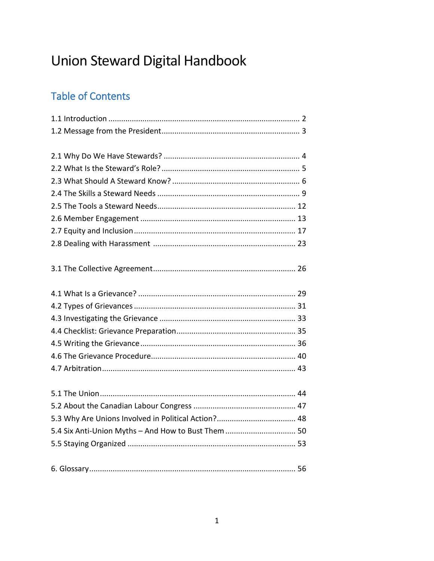# Union Steward Digital Handbook

## **Table of Contents**

| 5.4 Six Anti-Union Myths - And How to Bust Them  50 |  |
|-----------------------------------------------------|--|
|                                                     |  |
|                                                     |  |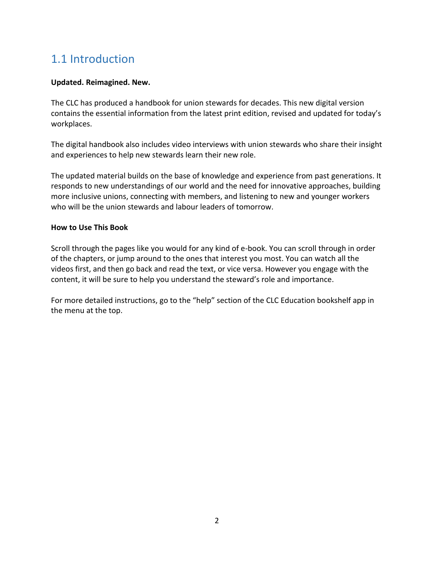## <span id="page-1-0"></span>1.1 Introduction

## **Updated. Reimagined. New.**

The CLC has produced a handbook for union stewards for decades. This new digital version contains the essential information from the latest print edition, revised and updated for today's workplaces.

The digital handbook also includes video interviews with union stewards who share their insight and experiences to help new stewards learn their new role.

The updated material builds on the base of knowledge and experience from past generations. It responds to new understandings of our world and the need for innovative approaches, building more inclusive unions, connecting with members, and listening to new and younger workers who will be the union stewards and labour leaders of tomorrow.

## **How to Use This Book**

Scroll through the pages like you would for any kind of e-book. You can scroll through in order of the chapters, or jump around to the ones that interest you most. You can watch all the videos first, and then go back and read the text, or vice versa. However you engage with the content, it will be sure to help you understand the steward's role and importance.

For more detailed instructions, go to the "help" section of the CLC Education bookshelf app in the menu at the top.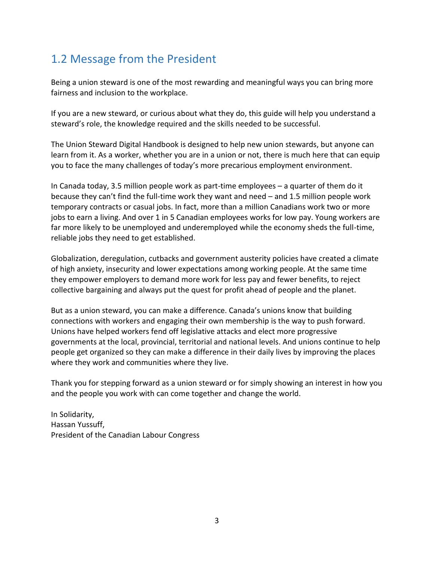## <span id="page-2-0"></span>1.2 Message from the President

Being a union steward is one of the most rewarding and meaningful ways you can bring more fairness and inclusion to the workplace.

If you are a new steward, or curious about what they do, this guide will help you understand a steward's role, the knowledge required and the skills needed to be successful.

The Union Steward Digital Handbook is designed to help new union stewards, but anyone can learn from it. As a worker, whether you are in a union or not, there is much here that can equip you to face the many challenges of today's more precarious employment environment.

In Canada today, 3.5 million people work as part-time employees – a quarter of them do it because they can't find the full-time work they want and need – and 1.5 million people work temporary contracts or casual jobs. In fact, more than a million Canadians work two or more jobs to earn a living. And over 1 in 5 Canadian employees works for low pay. Young workers are far more likely to be unemployed and underemployed while the economy sheds the full-time, reliable jobs they need to get established.

Globalization, deregulation, cutbacks and government austerity policies have created a climate of high anxiety, insecurity and lower expectations among working people. At the same time they empower employers to demand more work for less pay and fewer benefits, to reject collective bargaining and always put the quest for profit ahead of people and the planet.

But as a union steward, you can make a difference. Canada's unions know that building connections with workers and engaging their own membership is the way to push forward. Unions have helped workers fend off legislative attacks and elect more progressive governments at the local, provincial, territorial and national levels. And unions continue to help people get organized so they can make a difference in their daily lives by improving the places where they work and communities where they live.

Thank you for stepping forward as a union steward or for simply showing an interest in how you and the people you work with can come together and change the world.

In Solidarity, Hassan Yussuff, President of the Canadian Labour Congress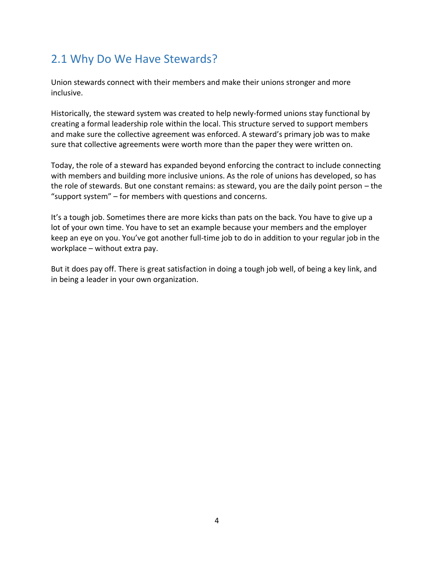## <span id="page-3-0"></span>2.1 Why Do We Have Stewards?

Union stewards connect with their members and make their unions stronger and more inclusive.

Historically, the steward system was created to help newly-formed unions stay functional by creating a formal leadership role within the local. This structure served to support members and make sure the collective agreement was enforced. A steward's primary job was to make sure that collective agreements were worth more than the paper they were written on.

Today, the role of a steward has expanded beyond enforcing the contract to include connecting with members and building more inclusive unions. As the role of unions has developed, so has the role of stewards. But one constant remains: as steward, you are the daily point person – the "support system" – for members with questions and concerns.

It's a tough job. Sometimes there are more kicks than pats on the back. You have to give up a lot of your own time. You have to set an example because your members and the employer keep an eye on you. You've got another full-time job to do in addition to your regular job in the workplace – without extra pay.

But it does pay off. There is great satisfaction in doing a tough job well, of being a key link, and in being a leader in your own organization.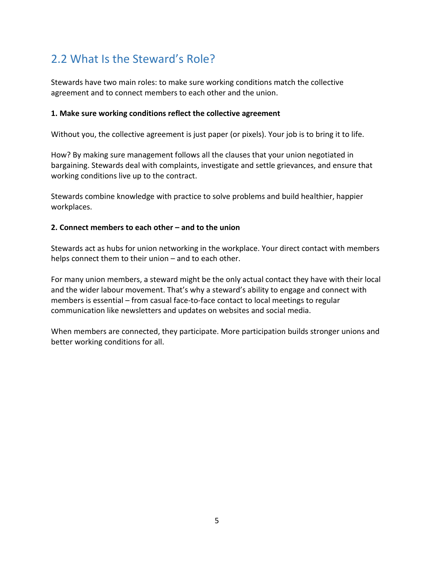## <span id="page-4-0"></span>2.2 What Is the Steward's Role?

Stewards have two main roles: to make sure working conditions match the collective agreement and to connect members to each other and the union.

### **1. Make sure working conditions reflect the collective agreement**

Without you, the collective agreement is just paper (or pixels). Your job is to bring it to life.

How? By making sure management follows all the clauses that your union negotiated in bargaining. Stewards deal with complaints, investigate and settle grievances, and ensure that working conditions live up to the contract.

Stewards combine knowledge with practice to solve problems and build healthier, happier workplaces.

## **2. Connect members to each other – and to the union**

Stewards act as hubs for union networking in the workplace. Your direct contact with members helps connect them to their union – and to each other.

For many union members, a steward might be the only actual contact they have with their local and the wider labour movement. That's why a steward's ability to engage and connect with members is essential – from casual face-to-face contact to local meetings to regular communication like newsletters and updates on websites and social media.

When members are connected, they participate. More participation builds stronger unions and better working conditions for all.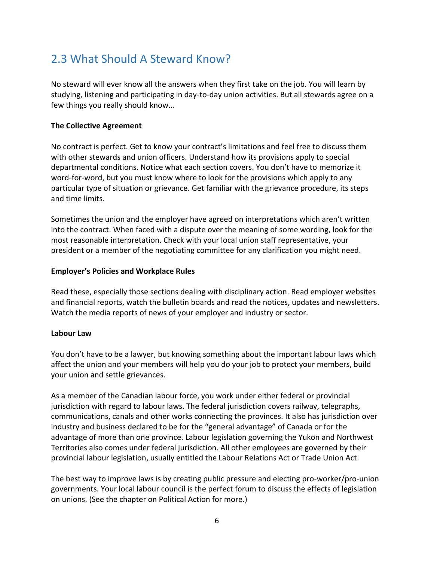## <span id="page-5-0"></span>2.3 What Should A Steward Know?

No steward will ever know all the answers when they first take on the job. You will learn by studying, listening and participating in day-to-day union activities. But all stewards agree on a few things you really should know…

## **The Collective Agreement**

No contract is perfect. Get to know your contract's limitations and feel free to discuss them with other stewards and union officers. Understand how its provisions apply to special departmental conditions. Notice what each section covers. You don't have to memorize it word-for-word, but you must know where to look for the provisions which apply to any particular type of situation or grievance. Get familiar with the grievance procedure, its steps and time limits.

Sometimes the union and the employer have agreed on interpretations which aren't written into the contract. When faced with a dispute over the meaning of some wording, look for the most reasonable interpretation. Check with your local union staff representative, your president or a member of the negotiating committee for any clarification you might need.

### **Employer's Policies and Workplace Rules**

Read these, especially those sections dealing with disciplinary action. Read employer websites and financial reports, watch the bulletin boards and read the notices, updates and newsletters. Watch the media reports of news of your employer and industry or sector.

## **Labour Law**

You don't have to be a lawyer, but knowing something about the important labour laws which affect the union and your members will help you do your job to protect your members, build your union and settle grievances.

As a member of the Canadian labour force, you work under either federal or provincial jurisdiction with regard to labour laws. The federal jurisdiction covers railway, telegraphs, communications, canals and other works connecting the provinces. It also has jurisdiction over industry and business declared to be for the "general advantage" of Canada or for the advantage of more than one province. Labour legislation governing the Yukon and Northwest Territories also comes under federal jurisdiction. All other employees are governed by their provincial labour legislation, usually entitled the Labour Relations Act or Trade Union Act.

The best way to improve laws is by creating public pressure and electing pro-worker/pro-union governments. Your local labour council is the perfect forum to discuss the effects of legislation on unions. (See the chapter on Political Action for more.)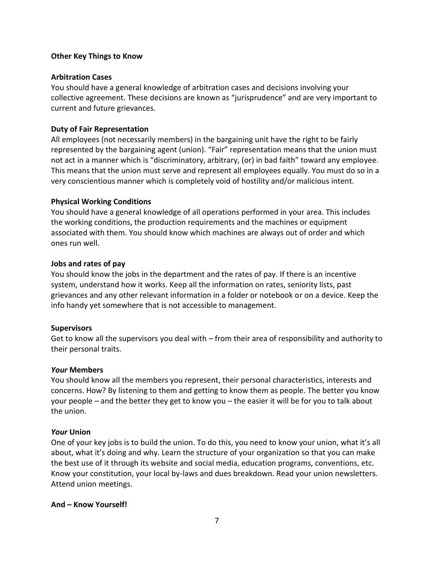### **Other Key Things to Know**

### **Arbitration Cases**

You should have a general knowledge of arbitration cases and decisions involving your collective agreement. These decisions are known as "jurisprudence" and are very important to current and future grievances.

### **Duty of Fair Representation**

All employees (not necessarily members) in the bargaining unit have the right to be fairly represented by the bargaining agent (union). "Fair" representation means that the union must not act in a manner which is "discriminatory, arbitrary, (or) in bad faith" toward any employee. This means that the union must serve and represent all employees equally. You must do so in a very conscientious manner which is completely void of hostility and/or malicious intent.

### **Physical Working Conditions**

You should have a general knowledge of all operations performed in your area. This includes the working conditions, the production requirements and the machines or equipment associated with them. You should know which machines are always out of order and which ones run well.

### **Jobs and rates of pay**

You should know the jobs in the department and the rates of pay. If there is an incentive system, understand how it works. Keep all the information on rates, seniority lists, past grievances and any other relevant information in a folder or notebook or on a device. Keep the info handy yet somewhere that is not accessible to management.

#### **Supervisors**

Get to know all the supervisors you deal with – from their area of responsibility and authority to their personal traits.

#### *Your* **Members**

You should know all the members you represent, their personal characteristics, interests and concerns. How? By listening to them and getting to know them as people. The better you know your people – and the better they get to know you – the easier it will be for you to talk about the union.

#### *Your* **Union**

One of your key jobs is to build the union. To do this, you need to know your union, what it's all about, what it's doing and why. Learn the structure of your organization so that you can make the best use of it through its website and social media, education programs, conventions, etc. Know your constitution, your local by-laws and dues breakdown. Read your union newsletters. Attend union meetings.

#### **And – Know Yourself!**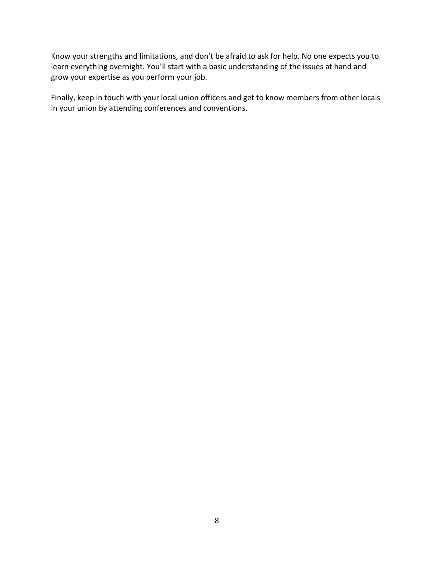Know your strengths and limitations, and don't be afraid to ask for help. No one expects you to learn everything overnight. You'll start with a basic understanding of the issues at hand and grow your expertise as you perform your job.

Finally, keep in touch with your local union officers and get to know members from other locals in your union by attending conferences and conventions.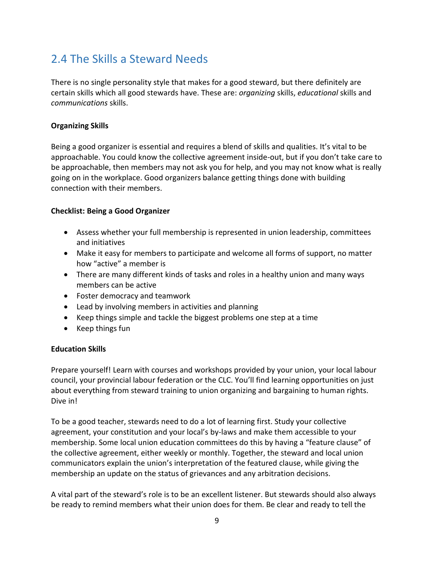## <span id="page-8-0"></span>2.4 The Skills a Steward Needs

There is no single personality style that makes for a good steward, but there definitely are certain skills which all good stewards have. These are: *organizing* skills, *educational* skills and *communications* skills.

## **Organizing Skills**

Being a good organizer is essential and requires a blend of skills and qualities. It's vital to be approachable. You could know the collective agreement inside-out, but if you don't take care to be approachable, then members may not ask you for help, and you may not know what is really going on in the workplace. Good organizers balance getting things done with building connection with their members.

## **Checklist: Being a Good Organizer**

- Assess whether your full membership is represented in union leadership, committees and initiatives
- Make it easy for members to participate and welcome all forms of support, no matter how "active" a member is
- There are many different kinds of tasks and roles in a healthy union and many ways members can be active
- Foster democracy and teamwork
- Lead by involving members in activities and planning
- Keep things simple and tackle the biggest problems one step at a time
- $\bullet$  Keep things fun

## **Education Skills**

Prepare yourself! Learn with courses and workshops provided by your union, your local labour council, your provincial labour federation or the CLC. You'll find learning opportunities on just about everything from steward training to union organizing and bargaining to human rights. Dive in!

To be a good teacher, stewards need to do a lot of learning first. Study your collective agreement, your constitution and your local's by-laws and make them accessible to your membership. Some local union education committees do this by having a "feature clause" of the collective agreement, either weekly or monthly. Together, the steward and local union communicators explain the union's interpretation of the featured clause, while giving the membership an update on the status of grievances and any arbitration decisions.

A vital part of the steward's role is to be an excellent listener. But stewards should also always be ready to remind members what their union does for them. Be clear and ready to tell the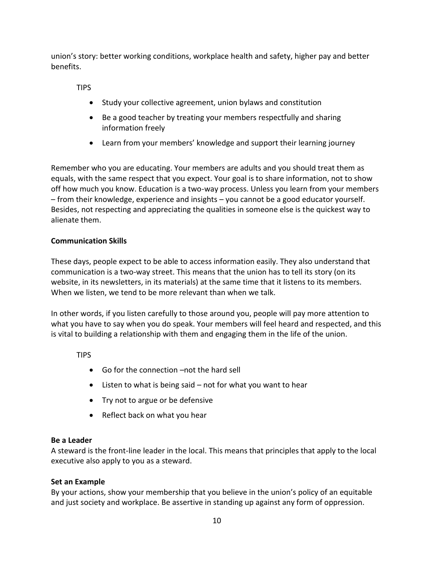union's story: better working conditions, workplace health and safety, higher pay and better benefits.

TIPS

- Study your collective agreement, union bylaws and constitution
- Be a good teacher by treating your members respectfully and sharing information freely
- Learn from your members' knowledge and support their learning journey

Remember who you are educating. Your members are adults and you should treat them as equals, with the same respect that you expect. Your goal is to share information, not to show off how much you know. Education is a two-way process. Unless you learn from your members – from their knowledge, experience and insights – you cannot be a good educator yourself. Besides, not respecting and appreciating the qualities in someone else is the quickest way to alienate them.

## **Communication Skills**

These days, people expect to be able to access information easily. They also understand that communication is a two-way street. This means that the union has to tell its story (on its website, in its newsletters, in its materials) at the same time that it listens to its members. When we listen, we tend to be more relevant than when we talk.

In other words, if you listen carefully to those around you, people will pay more attention to what you have to say when you do speak. Your members will feel heard and respected, and this is vital to building a relationship with them and engaging them in the life of the union.

TIPS

- Go for the connection –not the hard sell
- Listen to what is being said not for what you want to hear
- Try not to argue or be defensive
- Reflect back on what you hear

## **Be a Leader**

A steward is the front-line leader in the local. This means that principles that apply to the local executive also apply to you as a steward.

## **Set an Example**

By your actions, show your membership that you believe in the union's policy of an equitable and just society and workplace. Be assertive in standing up against any form of oppression.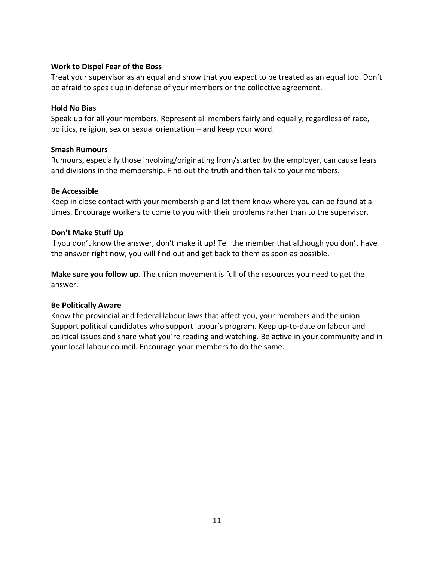### **Work to Dispel Fear of the Boss**

Treat your supervisor as an equal and show that you expect to be treated as an equal too. Don't be afraid to speak up in defense of your members or the collective agreement.

#### **Hold No Bias**

Speak up for all your members. Represent all members fairly and equally, regardless of race, politics, religion, sex or sexual orientation – and keep your word.

### **Smash Rumours**

Rumours, especially those involving/originating from/started by the employer, can cause fears and divisions in the membership. Find out the truth and then talk to your members.

### **Be Accessible**

Keep in close contact with your membership and let them know where you can be found at all times. Encourage workers to come to you with their problems rather than to the supervisor.

### **Don't Make Stuff Up**

If you don't know the answer, don't make it up! Tell the member that although you don't have the answer right now, you will find out and get back to them as soon as possible.

**Make sure you follow up**. The union movement is full of the resources you need to get the answer.

### **Be Politically Aware**

Know the provincial and federal labour laws that affect you, your members and the union. Support political candidates who support labour's program. Keep up-to-date on labour and political issues and share what you're reading and watching. Be active in your community and in your local labour council. Encourage your members to do the same.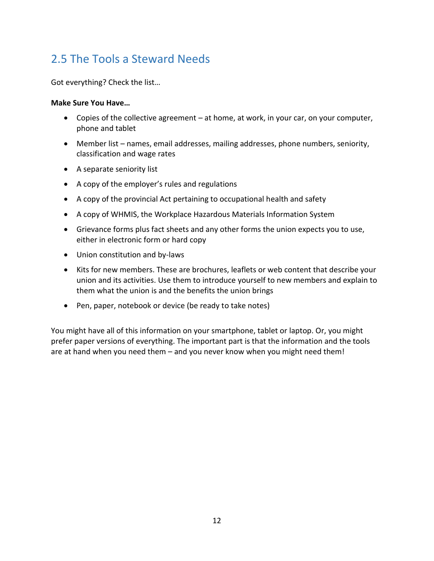## <span id="page-11-0"></span>2.5 The Tools a Steward Needs

Got everything? Check the list…

### **Make Sure You Have…**

- Copies of the collective agreement at home, at work, in your car, on your computer, phone and tablet
- Member list names, email addresses, mailing addresses, phone numbers, seniority, classification and wage rates
- A separate seniority list
- A copy of the employer's rules and regulations
- A copy of the provincial Act pertaining to occupational health and safety
- A copy of WHMIS, the Workplace Hazardous Materials Information System
- Grievance forms plus fact sheets and any other forms the union expects you to use, either in electronic form or hard copy
- Union constitution and by-laws
- Kits for new members. These are brochures, leaflets or web content that describe your union and its activities. Use them to introduce yourself to new members and explain to them what the union is and the benefits the union brings
- Pen, paper, notebook or device (be ready to take notes)

You might have all of this information on your smartphone, tablet or laptop. Or, you might prefer paper versions of everything. The important part is that the information and the tools are at hand when you need them – and you never know when you might need them!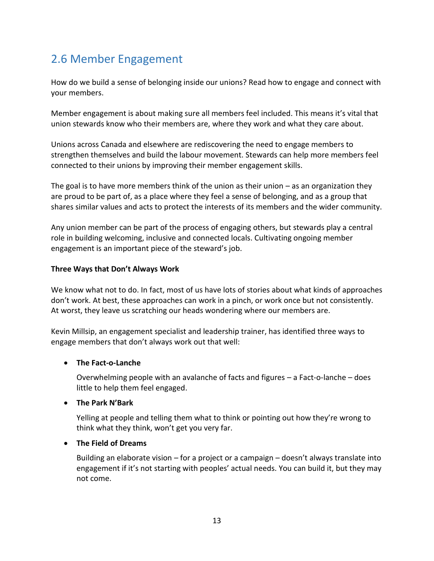## <span id="page-12-0"></span>2.6 Member Engagement

How do we build a sense of belonging inside our unions? Read how to engage and connect with your members.

Member engagement is about making sure all members feel included. This means it's vital that union stewards know who their members are, where they work and what they care about.

Unions across Canada and elsewhere are rediscovering the need to engage members to strengthen themselves and build the labour movement. Stewards can help more members feel connected to their unions by improving their member engagement skills.

The goal is to have more members think of the union as their union – as an organization they are proud to be part of, as a place where they feel a sense of belonging, and as a group that shares similar values and acts to protect the interests of its members and the wider community.

Any union member can be part of the process of engaging others, but stewards play a central role in building welcoming, inclusive and connected locals. Cultivating ongoing member engagement is an important piece of the steward's job.

## **Three Ways that Don't Always Work**

We know what not to do. In fact, most of us have lots of stories about what kinds of approaches don't work. At best, these approaches can work in a pinch, or work once but not consistently. At worst, they leave us scratching our heads wondering where our members are.

Kevin Millsip, an engagement specialist and leadership trainer, has identified three ways to engage members that don't always work out that well:

## **The Fact-o-Lanche**

Overwhelming people with an avalanche of facts and figures – a Fact-o-lanche – does little to help them feel engaged.

### **The Park N'Bark**

Yelling at people and telling them what to think or pointing out how they're wrong to think what they think, won't get you very far.

### **The Field of Dreams**

Building an elaborate vision – for a project or a campaign – doesn't always translate into engagement if it's not starting with peoples' actual needs. You can build it, but they may not come.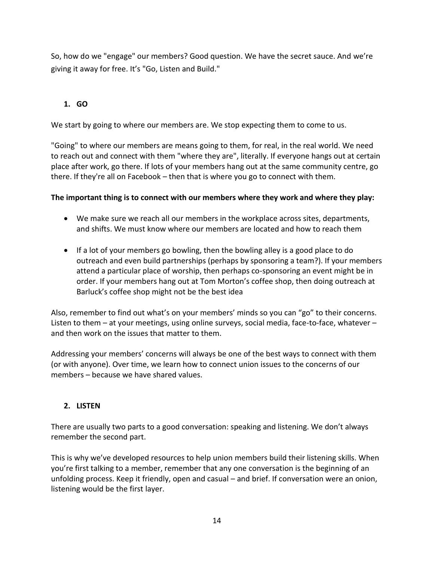So, how do we "engage" our members? Good question. We have the secret sauce. And we're giving it away for free. It's "Go, Listen and Build."

## **1. GO**

We start by going to where our members are. We stop expecting them to come to us.

"Going" to where our members are means going to them, for real, in the real world. We need to reach out and connect with them "where they are", literally. If everyone hangs out at certain place after work, go there. If lots of your members hang out at the same community centre, go there. If they're all on Facebook – then that is where you go to connect with them.

## **The important thing is to connect with our members where they work and where they play:**

- We make sure we reach all our members in the workplace across sites, departments, and shifts. We must know where our members are located and how to reach them
- If a lot of your members go bowling, then the bowling alley is a good place to do outreach and even build partnerships (perhaps by sponsoring a team?). If your members attend a particular place of worship, then perhaps co-sponsoring an event might be in order. If your members hang out at Tom Morton's coffee shop, then doing outreach at Barluck's coffee shop might not be the best idea

Also, remember to find out what's on your members' minds so you can "go" to their concerns. Listen to them – at your meetings, using online surveys, social media, face-to-face, whatever – and then work on the issues that matter to them.

Addressing your members' concerns will always be one of the best ways to connect with them (or with anyone). Over time, we learn how to connect union issues to the concerns of our members – because we have shared values.

## **2. LISTEN**

There are usually two parts to a good conversation: speaking and listening. We don't always remember the second part.

This is why we've developed resources to help union members build their listening skills. When you're first talking to a member, remember that any one conversation is the beginning of an unfolding process. Keep it friendly, open and casual – and brief. If conversation were an onion, listening would be the first layer.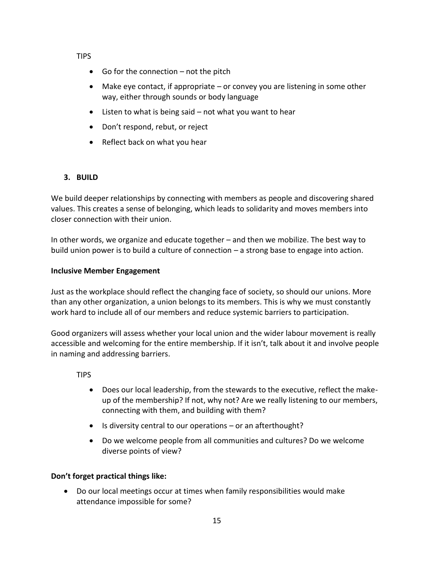TIPS

- $\bullet$  Go for the connection not the pitch
- Make eye contact, if appropriate or convey you are listening in some other way, either through sounds or body language
- Listen to what is being said not what you want to hear
- Don't respond, rebut, or reject
- Reflect back on what you hear

## **3. BUILD**

We build deeper relationships by connecting with members as people and discovering shared values. This creates a sense of belonging, which leads to solidarity and moves members into closer connection with their union.

In other words, we organize and educate together – and then we mobilize. The best way to build union power is to build a culture of connection – a strong base to engage into action.

## **Inclusive Member Engagement**

Just as the workplace should reflect the changing face of society, so should our unions. More than any other organization, a union belongs to its members. This is why we must constantly work hard to include all of our members and reduce systemic barriers to participation.

Good organizers will assess whether your local union and the wider labour movement is really accessible and welcoming for the entire membership. If it isn't, talk about it and involve people in naming and addressing barriers.

**TIPS** 

- Does our local leadership, from the stewards to the executive, reflect the makeup of the membership? If not, why not? Are we really listening to our members, connecting with them, and building with them?
- $\bullet$  Is diversity central to our operations or an afterthought?
- Do we welcome people from all communities and cultures? Do we welcome diverse points of view?

## **Don't forget practical things like:**

 Do our local meetings occur at times when family responsibilities would make attendance impossible for some?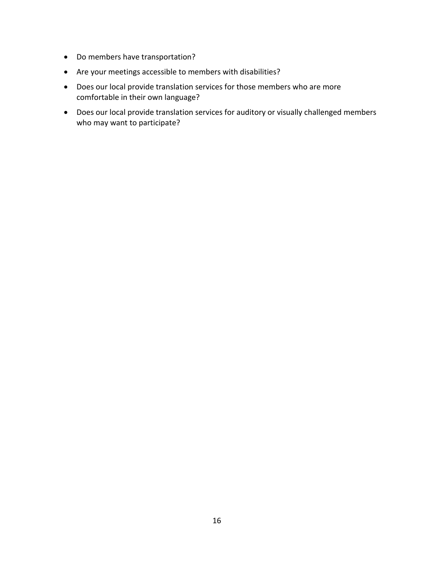- Do members have transportation?
- Are your meetings accessible to members with disabilities?
- Does our local provide translation services for those members who are more comfortable in their own language?
- Does our local provide translation services for auditory or visually challenged members who may want to participate?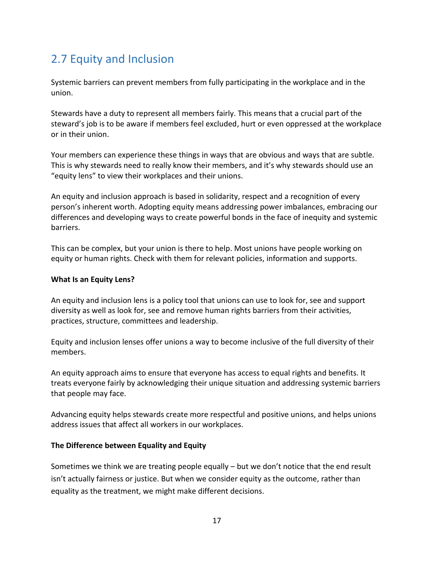## <span id="page-16-0"></span>2.7 Equity and Inclusion

Systemic barriers can prevent members from fully participating in the workplace and in the union.

Stewards have a duty to represent all members fairly. This means that a crucial part of the steward's job is to be aware if members feel excluded, hurt or even oppressed at the workplace or in their union.

Your members can experience these things in ways that are obvious and ways that are subtle. This is why stewards need to really know their members, and it's why stewards should use an "equity lens" to view their workplaces and their unions.

An equity and inclusion approach is based in solidarity, respect and a recognition of every person's inherent worth. Adopting equity means addressing power imbalances, embracing our differences and developing ways to create powerful bonds in the face of inequity and systemic barriers.

This can be complex, but your union is there to help. Most unions have people working on equity or human rights. Check with them for relevant policies, information and supports.

## **What Is an Equity Lens?**

An equity and inclusion lens is a policy tool that unions can use to look for, see and support diversity as well as look for, see and remove human rights barriers from their activities, practices, structure, committees and leadership.

Equity and inclusion lenses offer unions a way to become inclusive of the full diversity of their members.

An equity approach aims to ensure that everyone has access to equal rights and benefits. It treats everyone fairly by acknowledging their unique situation and addressing systemic barriers that people may face.

Advancing equity helps stewards create more respectful and positive unions, and helps unions address issues that affect all workers in our workplaces.

## **The Difference between Equality and Equity**

Sometimes we think we are treating people equally – but we don't notice that the end result isn't actually fairness or justice. But when we consider equity as the outcome, rather than equality as the treatment, we might make different decisions.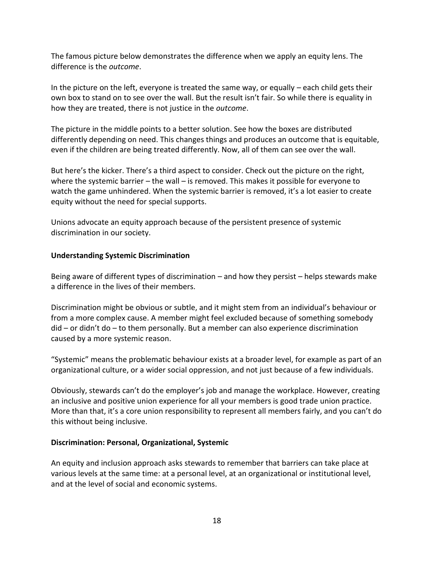The famous picture below demonstrates the difference when we apply an equity lens. The difference is the *outcome*.

In the picture on the left, everyone is treated the same way, or equally – each child gets their own box to stand on to see over the wall. But the result isn't fair. So while there is equality in how they are treated, there is not justice in the *outcome*.

The picture in the middle points to a better solution. See how the boxes are distributed differently depending on need. This changes things and produces an outcome that is equitable, even if the children are being treated differently. Now, all of them can see over the wall.

But here's the kicker. There's a third aspect to consider. Check out the picture on the right, where the systemic barrier – the wall – is removed. This makes it possible for everyone to watch the game unhindered. When the systemic barrier is removed, it's a lot easier to create equity without the need for special supports.

Unions advocate an equity approach because of the persistent presence of systemic discrimination in our society.

## **Understanding Systemic Discrimination**

Being aware of different types of discrimination – and how they persist – helps stewards make a difference in the lives of their members.

Discrimination might be obvious or subtle, and it might stem from an individual's behaviour or from a more complex cause. A member might feel excluded because of something somebody did – or didn't do – to them personally. But a member can also experience discrimination caused by a more systemic reason.

"Systemic" means the problematic behaviour exists at a broader level, for example as part of an organizational culture, or a wider social oppression, and not just because of a few individuals.

Obviously, stewards can't do the employer's job and manage the workplace. However, creating an inclusive and positive union experience for all your members is good trade union practice. More than that, it's a core union responsibility to represent all members fairly, and you can't do this without being inclusive.

## **Discrimination: Personal, Organizational, Systemic**

An equity and inclusion approach asks stewards to remember that barriers can take place at various levels at the same time: at a personal level, at an organizational or institutional level, and at the level of social and economic systems.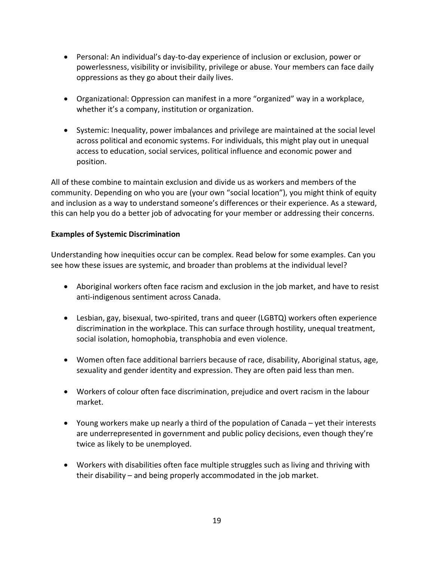- Personal: An individual's day-to-day experience of inclusion or exclusion, power or powerlessness, visibility or invisibility, privilege or abuse. Your members can face daily oppressions as they go about their daily lives.
- Organizational: Oppression can manifest in a more "organized" way in a workplace, whether it's a company, institution or organization.
- Systemic: Inequality, power imbalances and privilege are maintained at the social level across political and economic systems. For individuals, this might play out in unequal access to education, social services, political influence and economic power and position.

All of these combine to maintain exclusion and divide us as workers and members of the community. Depending on who you are (your own "social location"), you might think of equity and inclusion as a way to understand someone's differences or their experience. As a steward, this can help you do a better job of advocating for your member or addressing their concerns.

## **Examples of Systemic Discrimination**

Understanding how inequities occur can be complex. Read below for some examples. Can you see how these issues are systemic, and broader than problems at the individual level?

- Aboriginal workers often face racism and exclusion in the job market, and have to resist anti-indigenous sentiment across Canada.
- Lesbian, gay, bisexual, two-spirited, trans and queer (LGBTQ) workers often experience discrimination in the workplace. This can surface through hostility, unequal treatment, social isolation, homophobia, transphobia and even violence.
- Women often face additional barriers because of race, disability, Aboriginal status, age, sexuality and gender identity and expression. They are often paid less than men.
- Workers of colour often face discrimination, prejudice and overt racism in the labour market.
- Young workers make up nearly a third of the population of Canada yet their interests are underrepresented in government and public policy decisions, even though they're twice as likely to be unemployed.
- Workers with disabilities often face multiple struggles such as living and thriving with their disability – and being properly accommodated in the job market.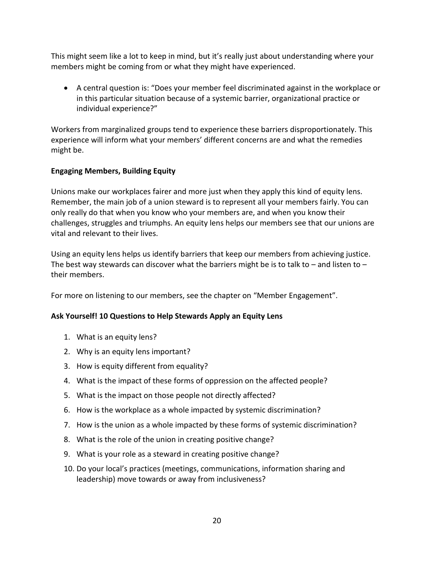This might seem like a lot to keep in mind, but it's really just about understanding where your members might be coming from or what they might have experienced.

 A central question is: "Does your member feel discriminated against in the workplace or in this particular situation because of a systemic barrier, organizational practice or individual experience?"

Workers from marginalized groups tend to experience these barriers disproportionately. This experience will inform what your members' different concerns are and what the remedies might be.

## **Engaging Members, Building Equity**

Unions make our workplaces fairer and more just when they apply this kind of equity lens. Remember, the main job of a union steward is to represent all your members fairly. You can only really do that when you know who your members are, and when you know their challenges, struggles and triumphs. An equity lens helps our members see that our unions are vital and relevant to their lives.

Using an equity lens helps us identify barriers that keep our members from achieving justice. The best way stewards can discover what the barriers might be is to talk to  $-$  and listen to  $$ their members.

For more on listening to our members, see the chapter on "Member Engagement".

## **Ask Yourself! 10 Questions to Help Stewards Apply an Equity Lens**

- 1. What is an equity lens?
- 2. Why is an equity lens important?
- 3. How is equity different from equality?
- 4. What is the impact of these forms of oppression on the affected people?
- 5. What is the impact on those people not directly affected?
- 6. How is the workplace as a whole impacted by systemic discrimination?
- 7. How is the union as a whole impacted by these forms of systemic discrimination?
- 8. What is the role of the union in creating positive change?
- 9. What is your role as a steward in creating positive change?
- 10. Do your local's practices (meetings, communications, information sharing and leadership) move towards or away from inclusiveness?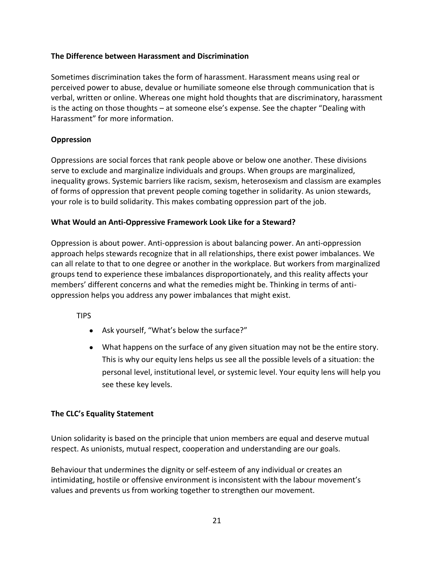## **The Difference between Harassment and Discrimination**

Sometimes discrimination takes the form of harassment. Harassment means using real or perceived power to abuse, devalue or humiliate someone else through communication that is verbal, written or online. Whereas one might hold thoughts that are discriminatory, harassment is the acting on those thoughts – at someone else's expense. See the chapter "Dealing with Harassment" for more information.

## **Oppression**

Oppressions are social forces that rank people above or below one another. These divisions serve to exclude and marginalize individuals and groups. When groups are marginalized, inequality grows. Systemic barriers like racism, sexism, heterosexism and classism are examples of forms of oppression that prevent people coming together in solidarity. As union stewards, your role is to build solidarity. This makes combating oppression part of the job.

## **What Would an Anti-Oppressive Framework Look Like for a Steward?**

Oppression is about power. Anti-oppression is about balancing power. An anti-oppression approach helps stewards recognize that in all relationships, there exist power imbalances. We can all relate to that to one degree or another in the workplace. But workers from marginalized groups tend to experience these imbalances disproportionately, and this reality affects your members' different concerns and what the remedies might be. Thinking in terms of antioppression helps you address any power imbalances that might exist.

TIPS

- Ask yourself, "What's below the surface?"
- What happens on the surface of any given situation may not be the entire story. This is why our equity lens helps us see all the possible levels of a situation: the personal level, institutional level, or systemic level. Your equity lens will help you see these key levels.

## **The CLC's Equality Statement**

Union solidarity is based on the principle that union members are equal and deserve mutual respect. As unionists, mutual respect, cooperation and understanding are our goals.

Behaviour that undermines the dignity or self-esteem of any individual or creates an intimidating, hostile or offensive environment is inconsistent with the labour movement's values and prevents us from working together to strengthen our movement.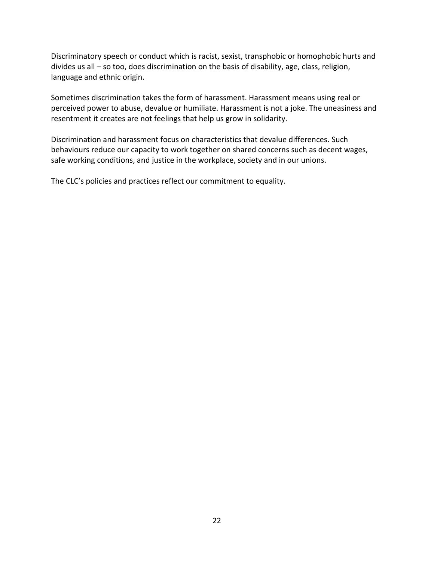Discriminatory speech or conduct which is racist, sexist, transphobic or homophobic hurts and divides us all – so too, does discrimination on the basis of disability, age, class, religion, language and ethnic origin.

Sometimes discrimination takes the form of harassment. Harassment means using real or perceived power to abuse, devalue or humiliate. Harassment is not a joke. The uneasiness and resentment it creates are not feelings that help us grow in solidarity.

Discrimination and harassment focus on characteristics that devalue differences. Such behaviours reduce our capacity to work together on shared concerns such as decent wages, safe working conditions, and justice in the workplace, society and in our unions.

The CLC's policies and practices reflect our commitment to equality.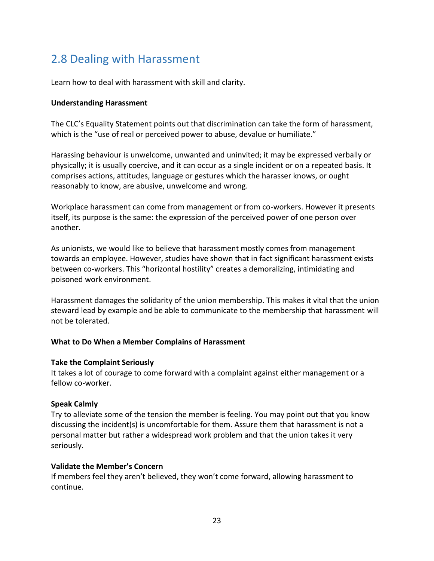## <span id="page-22-0"></span>2.8 Dealing with Harassment

Learn how to deal with harassment with skill and clarity.

## **Understanding Harassment**

The CLC's Equality Statement points out that discrimination can take the form of harassment, which is the "use of real or perceived power to abuse, devalue or humiliate."

Harassing behaviour is unwelcome, unwanted and uninvited; it may be expressed verbally or physically; it is usually coercive, and it can occur as a single incident or on a repeated basis. It comprises actions, attitudes, language or gestures which the harasser knows, or ought reasonably to know, are abusive, unwelcome and wrong.

Workplace harassment can come from management or from co-workers. However it presents itself, its purpose is the same: the expression of the perceived power of one person over another.

As unionists, we would like to believe that harassment mostly comes from management towards an employee. However, studies have shown that in fact significant harassment exists between co-workers. This "horizontal hostility" creates a demoralizing, intimidating and poisoned work environment.

Harassment damages the solidarity of the union membership. This makes it vital that the union steward lead by example and be able to communicate to the membership that harassment will not be tolerated.

## **What to Do When a Member Complains of Harassment**

### **Take the Complaint Seriously**

It takes a lot of courage to come forward with a complaint against either management or a fellow co-worker.

### **Speak Calmly**

Try to alleviate some of the tension the member is feeling. You may point out that you know discussing the incident(s) is uncomfortable for them. Assure them that harassment is not a personal matter but rather a widespread work problem and that the union takes it very seriously.

## **Validate the Member's Concern**

If members feel they aren't believed, they won't come forward, allowing harassment to continue.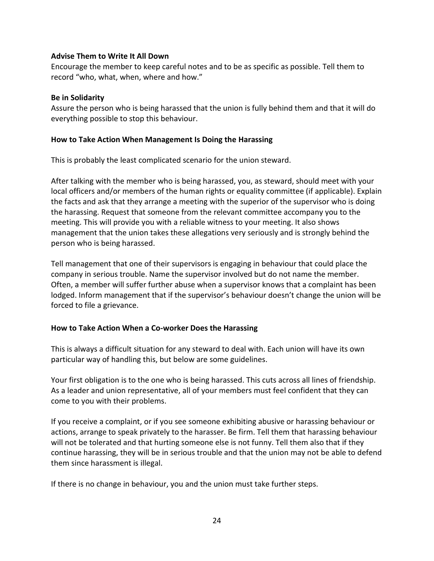### **Advise Them to Write It All Down**

Encourage the member to keep careful notes and to be as specific as possible. Tell them to record "who, what, when, where and how."

## **Be in Solidarity**

Assure the person who is being harassed that the union is fully behind them and that it will do everything possible to stop this behaviour.

## **How to Take Action When Management Is Doing the Harassing**

This is probably the least complicated scenario for the union steward.

After talking with the member who is being harassed, you, as steward, should meet with your local officers and/or members of the human rights or equality committee (if applicable). Explain the facts and ask that they arrange a meeting with the superior of the supervisor who is doing the harassing. Request that someone from the relevant committee accompany you to the meeting. This will provide you with a reliable witness to your meeting. It also shows management that the union takes these allegations very seriously and is strongly behind the person who is being harassed.

Tell management that one of their supervisors is engaging in behaviour that could place the company in serious trouble. Name the supervisor involved but do not name the member. Often, a member will suffer further abuse when a supervisor knows that a complaint has been lodged. Inform management that if the supervisor's behaviour doesn't change the union will be forced to file a grievance.

## **How to Take Action When a Co-worker Does the Harassing**

This is always a difficult situation for any steward to deal with. Each union will have its own particular way of handling this, but below are some guidelines.

Your first obligation is to the one who is being harassed. This cuts across all lines of friendship. As a leader and union representative, all of your members must feel confident that they can come to you with their problems.

If you receive a complaint, or if you see someone exhibiting abusive or harassing behaviour or actions, arrange to speak privately to the harasser. Be firm. Tell them that harassing behaviour will not be tolerated and that hurting someone else is not funny. Tell them also that if they continue harassing, they will be in serious trouble and that the union may not be able to defend them since harassment is illegal.

If there is no change in behaviour, you and the union must take further steps.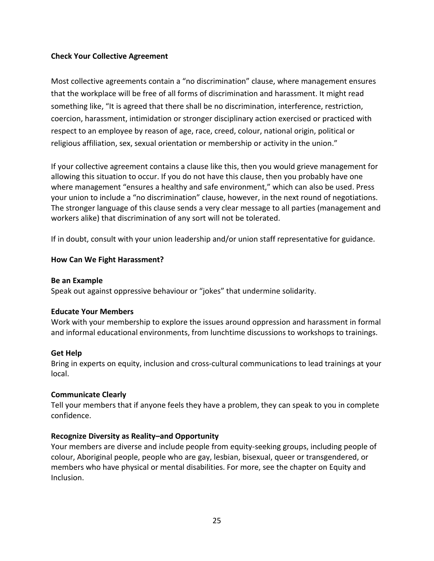## **Check Your Collective Agreement**

Most collective agreements contain a "no discrimination" clause, where management ensures that the workplace will be free of all forms of discrimination and harassment. It might read something like, "It is agreed that there shall be no discrimination, interference, restriction, coercion, harassment, intimidation or stronger disciplinary action exercised or practiced with respect to an employee by reason of age, race, creed, colour, national origin, political or religious affiliation, sex, sexual orientation or membership or activity in the union."

If your collective agreement contains a clause like this, then you would grieve management for allowing this situation to occur. If you do not have this clause, then you probably have one where management "ensures a healthy and safe environment," which can also be used. Press your union to include a "no discrimination" clause, however, in the next round of negotiations. The stronger language of this clause sends a very clear message to all parties (management and workers alike) that discrimination of any sort will not be tolerated.

If in doubt, consult with your union leadership and/or union staff representative for guidance.

## **How Can We Fight Harassment?**

### **Be an Example**

Speak out against oppressive behaviour or "jokes" that undermine solidarity.

### **Educate Your Members**

Work with your membership to explore the issues around oppression and harassment in formal and informal educational environments, from lunchtime discussions to workshops to trainings.

### **Get Help**

Bring in experts on equity, inclusion and cross-cultural communications to lead trainings at your local.

### **Communicate Clearly**

Tell your members that if anyone feels they have a problem, they can speak to you in complete confidence.

### **Recognize Diversity as Reality–and Opportunity**

Your members are diverse and include people from equity-seeking groups, including people of colour, Aboriginal people, people who are gay, lesbian, bisexual, queer or transgendered, or members who have physical or mental disabilities. For more, see the chapter on Equity and Inclusion.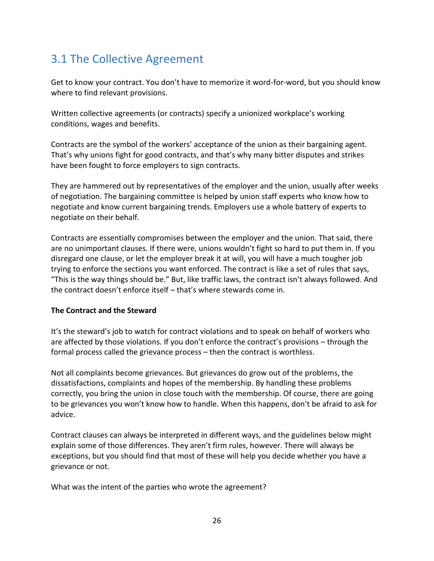## <span id="page-25-0"></span>3.1 The Collective Agreement

Get to know your contract. You don't have to memorize it word-for-word, but you should know where to find relevant provisions.

Written collective agreements (or contracts) specify a unionized workplace's working conditions, wages and benefits.

Contracts are the symbol of the workers' acceptance of the union as their bargaining agent. That's why unions fight for good contracts, and that's why many bitter disputes and strikes have been fought to force employers to sign contracts.

They are hammered out by representatives of the employer and the union, usually after weeks of negotiation. The bargaining committee is helped by union staff experts who know how to negotiate and know current bargaining trends. Employers use a whole battery of experts to negotiate on their behalf.

Contracts are essentially compromises between the employer and the union. That said, there are no unimportant clauses. If there were, unions wouldn't fight so hard to put them in. If you disregard one clause, or let the employer break it at will, you will have a much tougher job trying to enforce the sections you want enforced. The contract is like a set of rules that says, "This is the way things should be." But, like traffic laws, the contract isn't always followed. And the contract doesn't enforce itself – that's where stewards come in.

## **The Contract and the Steward**

It's the steward's job to watch for contract violations and to speak on behalf of workers who are affected by those violations. If you don't enforce the contract's provisions – through the formal process called the grievance process – then the contract is worthless.

Not all complaints become grievances. But grievances do grow out of the problems, the dissatisfactions, complaints and hopes of the membership. By handling these problems correctly, you bring the union in close touch with the membership. Of course, there are going to be grievances you won't know how to handle. When this happens, don't be afraid to ask for advice.

Contract clauses can always be interpreted in different ways, and the guidelines below might explain some of those differences. They aren't firm rules, however. There will always be exceptions, but you should find that most of these will help you decide whether you have a grievance or not.

What was the intent of the parties who wrote the agreement?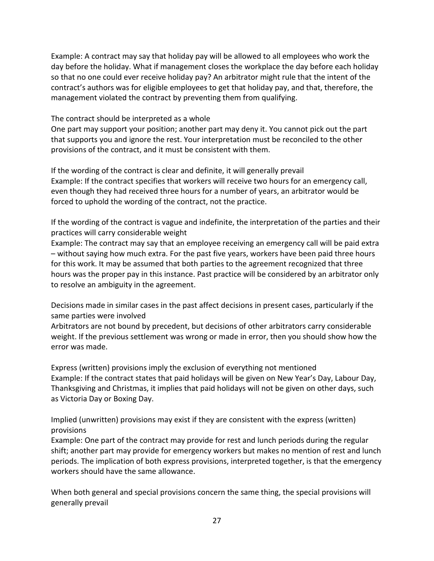Example: A contract may say that holiday pay will be allowed to all employees who work the day before the holiday. What if management closes the workplace the day before each holiday so that no one could ever receive holiday pay? An arbitrator might rule that the intent of the contract's authors was for eligible employees to get that holiday pay, and that, therefore, the management violated the contract by preventing them from qualifying.

## The contract should be interpreted as a whole

One part may support your position; another part may deny it. You cannot pick out the part that supports you and ignore the rest. Your interpretation must be reconciled to the other provisions of the contract, and it must be consistent with them.

If the wording of the contract is clear and definite, it will generally prevail Example: If the contract specifies that workers will receive two hours for an emergency call, even though they had received three hours for a number of years, an arbitrator would be forced to uphold the wording of the contract, not the practice.

If the wording of the contract is vague and indefinite, the interpretation of the parties and their practices will carry considerable weight

Example: The contract may say that an employee receiving an emergency call will be paid extra – without saying how much extra. For the past five years, workers have been paid three hours for this work. It may be assumed that both parties to the agreement recognized that three hours was the proper pay in this instance. Past practice will be considered by an arbitrator only to resolve an ambiguity in the agreement.

Decisions made in similar cases in the past affect decisions in present cases, particularly if the same parties were involved

Arbitrators are not bound by precedent, but decisions of other arbitrators carry considerable weight. If the previous settlement was wrong or made in error, then you should show how the error was made.

Express (written) provisions imply the exclusion of everything not mentioned Example: If the contract states that paid holidays will be given on New Year's Day, Labour Day, Thanksgiving and Christmas, it implies that paid holidays will not be given on other days, such as Victoria Day or Boxing Day.

Implied (unwritten) provisions may exist if they are consistent with the express (written) provisions

Example: One part of the contract may provide for rest and lunch periods during the regular shift; another part may provide for emergency workers but makes no mention of rest and lunch periods. The implication of both express provisions, interpreted together, is that the emergency workers should have the same allowance.

When both general and special provisions concern the same thing, the special provisions will generally prevail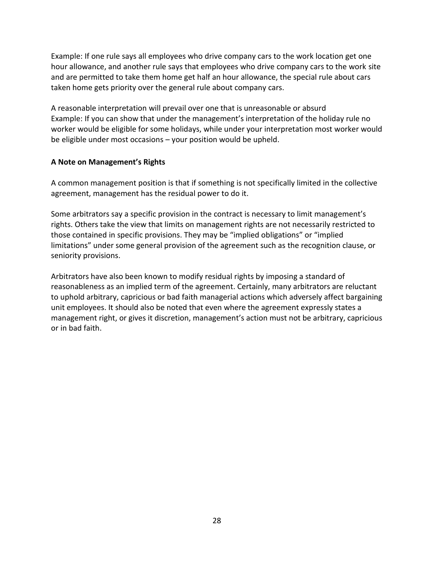Example: If one rule says all employees who drive company cars to the work location get one hour allowance, and another rule says that employees who drive company cars to the work site and are permitted to take them home get half an hour allowance, the special rule about cars taken home gets priority over the general rule about company cars.

A reasonable interpretation will prevail over one that is unreasonable or absurd Example: If you can show that under the management's interpretation of the holiday rule no worker would be eligible for some holidays, while under your interpretation most worker would be eligible under most occasions – your position would be upheld.

## **A Note on Management's Rights**

A common management position is that if something is not specifically limited in the collective agreement, management has the residual power to do it.

Some arbitrators say a specific provision in the contract is necessary to limit management's rights. Others take the view that limits on management rights are not necessarily restricted to those contained in specific provisions. They may be "implied obligations" or "implied limitations" under some general provision of the agreement such as the recognition clause, or seniority provisions.

Arbitrators have also been known to modify residual rights by imposing a standard of reasonableness as an implied term of the agreement. Certainly, many arbitrators are reluctant to uphold arbitrary, capricious or bad faith managerial actions which adversely affect bargaining unit employees. It should also be noted that even where the agreement expressly states a management right, or gives it discretion, management's action must not be arbitrary, capricious or in bad faith.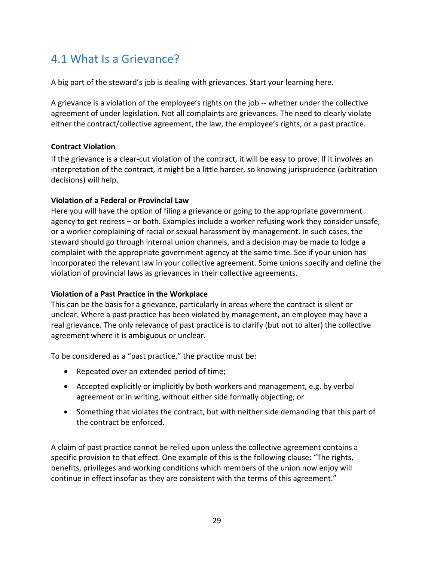## <span id="page-28-0"></span>4.1 What Is a Grievance?

A big part of the steward's job is dealing with grievances. Start your learning here.

A grievance is a violation of the employee's rights on the job -- whether under the collective agreement of under legislation. Not all complaints are grievances. The need to clearly violate either the contract/collective agreement, the law, the employee's rights, or a past practice.

## **Contract Violation**

If the grievance is a clear-cut violation of the contract, it will be easy to prove. If it involves an interpretation of the contract, it might be a little harder, so knowing jurisprudence (arbitration decisions) will help.

## **Violation of a Federal or Provincial Law**

Here you will have the option of filing a grievance or going to the appropriate government agency to get redress – or both. Examples include a worker refusing work they consider unsafe, or a worker complaining of racial or sexual harassment by management. In such cases, the steward should go through internal union channels, and a decision may be made to lodge a complaint with the appropriate government agency at the same time. See if your union has incorporated the relevant law in your collective agreement. Some unions specify and define the violation of provincial laws as grievances in their collective agreements.

## **Violation of a Past Practice in the Workplace**

This can be the basis for a grievance, particularly in areas where the contract is silent or unclear. Where a past practice has been violated by management, an employee may have a real grievance. The only relevance of past practice is to clarify (but not to alter) the collective agreement where it is ambiguous or unclear.

To be considered as a "past practice," the practice must be:

- Repeated over an extended period of time;
- Accepted explicitly or implicitly by both workers and management, e.g. by verbal agreement or in writing, without either side formally objecting; or
- Something that violates the contract, but with neither side demanding that this part of the contract be enforced.

A claim of past practice cannot be relied upon unless the collective agreement contains a specific provision to that effect. One example of this is the following clause: "The rights, benefits, privileges and working conditions which members of the union now enjoy will continue in effect insofar as they are consistent with the terms of this agreement."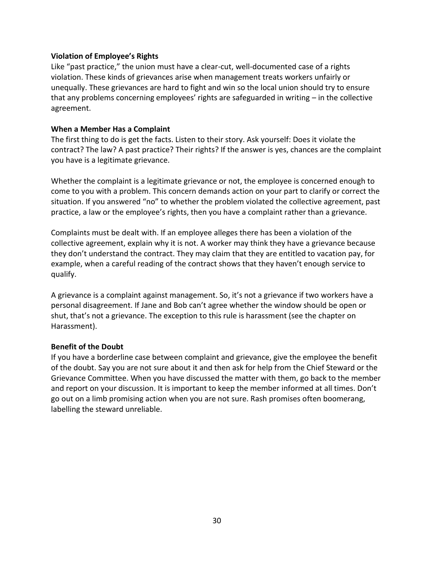### **Violation of Employee's Rights**

Like "past practice," the union must have a clear-cut, well-documented case of a rights violation. These kinds of grievances arise when management treats workers unfairly or unequally. These grievances are hard to fight and win so the local union should try to ensure that any problems concerning employees' rights are safeguarded in writing – in the collective agreement.

## **When a Member Has a Complaint**

The first thing to do is get the facts. Listen to their story. Ask yourself: Does it violate the contract? The law? A past practice? Their rights? If the answer is yes, chances are the complaint you have is a legitimate grievance.

Whether the complaint is a legitimate grievance or not, the employee is concerned enough to come to you with a problem. This concern demands action on your part to clarify or correct the situation. If you answered "no" to whether the problem violated the collective agreement, past practice, a law or the employee's rights, then you have a complaint rather than a grievance.

Complaints must be dealt with. If an employee alleges there has been a violation of the collective agreement, explain why it is not. A worker may think they have a grievance because they don't understand the contract. They may claim that they are entitled to vacation pay, for example, when a careful reading of the contract shows that they haven't enough service to qualify.

A grievance is a complaint against management. So, it's not a grievance if two workers have a personal disagreement. If Jane and Bob can't agree whether the window should be open or shut, that's not a grievance. The exception to this rule is harassment (see the chapter on Harassment).

## **Benefit of the Doubt**

If you have a borderline case between complaint and grievance, give the employee the benefit of the doubt. Say you are not sure about it and then ask for help from the Chief Steward or the Grievance Committee. When you have discussed the matter with them, go back to the member and report on your discussion. It is important to keep the member informed at all times. Don't go out on a limb promising action when you are not sure. Rash promises often boomerang, labelling the steward unreliable.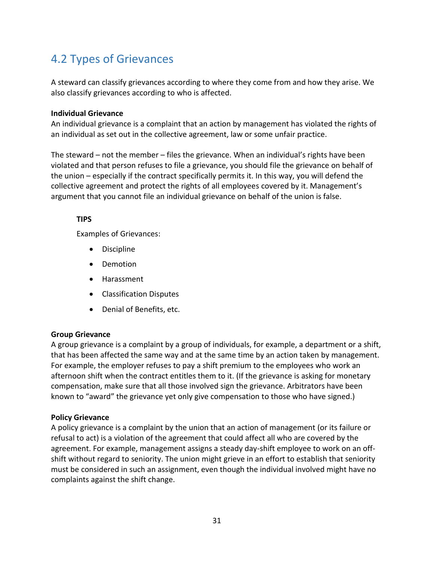## <span id="page-30-0"></span>4.2 Types of Grievances

A steward can classify grievances according to where they come from and how they arise. We also classify grievances according to who is affected.

### **Individual Grievance**

An individual grievance is a complaint that an action by management has violated the rights of an individual as set out in the collective agreement, law or some unfair practice.

The steward – not the member – files the grievance. When an individual's rights have been violated and that person refuses to file a grievance, you should file the grievance on behalf of the union – especially if the contract specifically permits it. In this way, you will defend the collective agreement and protect the rights of all employees covered by it. Management's argument that you cannot file an individual grievance on behalf of the union is false.

## **TIPS**

Examples of Grievances:

- Discipline
- Demotion
- Harassment
- Classification Disputes
- Denial of Benefits, etc.

## **Group Grievance**

A group grievance is a complaint by a group of individuals, for example, a department or a shift, that has been affected the same way and at the same time by an action taken by management. For example, the employer refuses to pay a shift premium to the employees who work an afternoon shift when the contract entitles them to it. (If the grievance is asking for monetary compensation, make sure that all those involved sign the grievance. Arbitrators have been known to "award" the grievance yet only give compensation to those who have signed.)

## **Policy Grievance**

A policy grievance is a complaint by the union that an action of management (or its failure or refusal to act) is a violation of the agreement that could affect all who are covered by the agreement. For example, management assigns a steady day-shift employee to work on an offshift without regard to seniority. The union might grieve in an effort to establish that seniority must be considered in such an assignment, even though the individual involved might have no complaints against the shift change.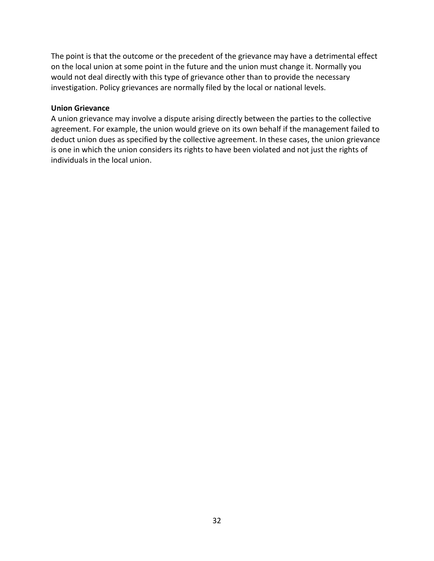The point is that the outcome or the precedent of the grievance may have a detrimental effect on the local union at some point in the future and the union must change it. Normally you would not deal directly with this type of grievance other than to provide the necessary investigation. Policy grievances are normally filed by the local or national levels.

#### **Union Grievance**

A union grievance may involve a dispute arising directly between the parties to the collective agreement. For example, the union would grieve on its own behalf if the management failed to deduct union dues as specified by the collective agreement. In these cases, the union grievance is one in which the union considers its rights to have been violated and not just the rights of individuals in the local union.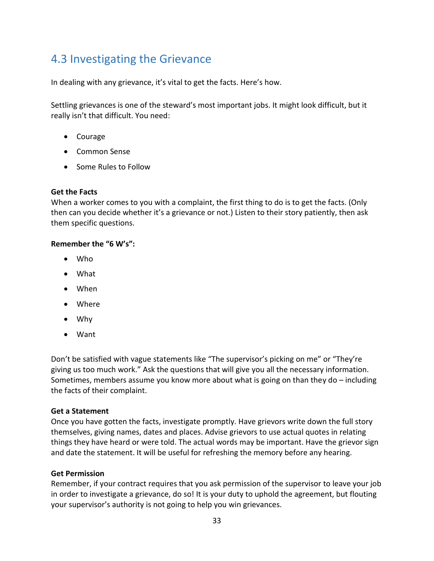## <span id="page-32-0"></span>4.3 Investigating the Grievance

In dealing with any grievance, it's vital to get the facts. Here's how.

Settling grievances is one of the steward's most important jobs. It might look difficult, but it really isn't that difficult. You need:

- Courage
- Common Sense
- Some Rules to Follow

## **Get the Facts**

When a worker comes to you with a complaint, the first thing to do is to get the facts. (Only then can you decide whether it's a grievance or not.) Listen to their story patiently, then ask them specific questions.

## **Remember the "6 W's":**

- Who
- What
- When
- Where
- Why
- Want

Don't be satisfied with vague statements like "The supervisor's picking on me" or "They're giving us too much work." Ask the questions that will give you all the necessary information. Sometimes, members assume you know more about what is going on than they do – including the facts of their complaint.

### **Get a Statement**

Once you have gotten the facts, investigate promptly. Have grievors write down the full story themselves, giving names, dates and places. Advise grievors to use actual quotes in relating things they have heard or were told. The actual words may be important. Have the grievor sign and date the statement. It will be useful for refreshing the memory before any hearing.

## **Get Permission**

Remember, if your contract requires that you ask permission of the supervisor to leave your job in order to investigate a grievance, do so! It is your duty to uphold the agreement, but flouting your supervisor's authority is not going to help you win grievances.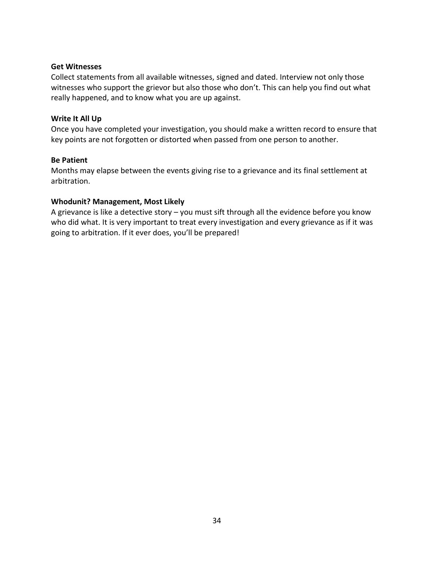### **Get Witnesses**

Collect statements from all available witnesses, signed and dated. Interview not only those witnesses who support the grievor but also those who don't. This can help you find out what really happened, and to know what you are up against.

### **Write It All Up**

Once you have completed your investigation, you should make a written record to ensure that key points are not forgotten or distorted when passed from one person to another.

### **Be Patient**

Months may elapse between the events giving rise to a grievance and its final settlement at arbitration.

## **Whodunit? Management, Most Likely**

A grievance is like a detective story – you must sift through all the evidence before you know who did what. It is very important to treat every investigation and every grievance as if it was going to arbitration. If it ever does, you'll be prepared!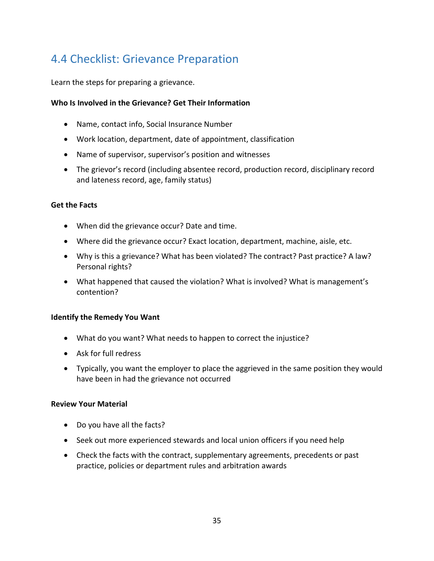## <span id="page-34-0"></span>4.4 Checklist: Grievance Preparation

Learn the steps for preparing a grievance.

## **Who Is Involved in the Grievance? Get Their Information**

- Name, contact info, Social Insurance Number
- Work location, department, date of appointment, classification
- Name of supervisor, supervisor's position and witnesses
- The grievor's record (including absentee record, production record, disciplinary record and lateness record, age, family status)

### **Get the Facts**

- When did the grievance occur? Date and time.
- Where did the grievance occur? Exact location, department, machine, aisle, etc.
- Why is this a grievance? What has been violated? The contract? Past practice? A law? Personal rights?
- What happened that caused the violation? What is involved? What is management's contention?

### **Identify the Remedy You Want**

- What do you want? What needs to happen to correct the injustice?
- Ask for full redress
- Typically, you want the employer to place the aggrieved in the same position they would have been in had the grievance not occurred

#### **Review Your Material**

- Do you have all the facts?
- Seek out more experienced stewards and local union officers if you need help
- Check the facts with the contract, supplementary agreements, precedents or past practice, policies or department rules and arbitration awards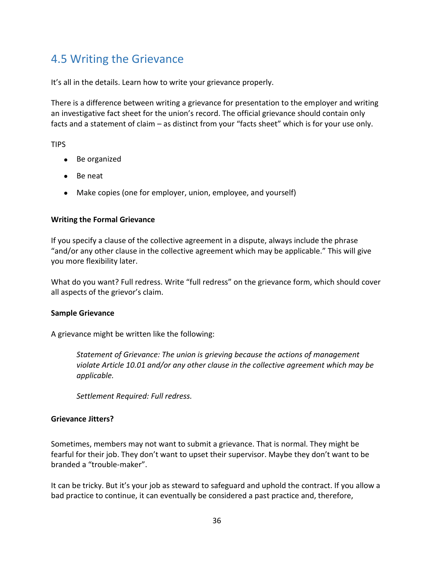## <span id="page-35-0"></span>4.5 Writing the Grievance

It's all in the details. Learn how to write your grievance properly.

There is a difference between writing a grievance for presentation to the employer and writing an investigative fact sheet for the union's record. The official grievance should contain only facts and a statement of claim – as distinct from your "facts sheet" which is for your use only.

## **TIPS**

- Be organized
- Be neat
- Make copies (one for employer, union, employee, and yourself)

### **Writing the Formal Grievance**

If you specify a clause of the collective agreement in a dispute, always include the phrase "and/or any other clause in the collective agreement which may be applicable." This will give you more flexibility later.

What do you want? Full redress. Write "full redress" on the grievance form, which should cover all aspects of the grievor's claim.

### **Sample Grievance**

A grievance might be written like the following:

*Statement of Grievance: The union is grieving because the actions of management violate Article 10.01 and/or any other clause in the collective agreement which may be applicable.*

*Settlement Required: Full redress.*

### **Grievance Jitters?**

Sometimes, members may not want to submit a grievance. That is normal. They might be fearful for their job. They don't want to upset their supervisor. Maybe they don't want to be branded a "trouble-maker".

It can be tricky. But it's your job as steward to safeguard and uphold the contract. If you allow a bad practice to continue, it can eventually be considered a past practice and, therefore,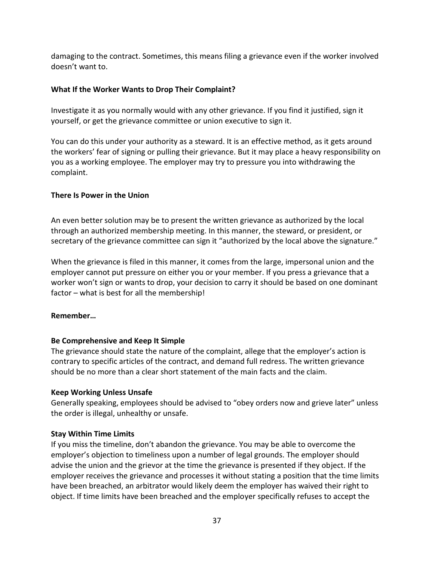damaging to the contract. Sometimes, this means filing a grievance even if the worker involved doesn't want to.

## **What If the Worker Wants to Drop Their Complaint?**

Investigate it as you normally would with any other grievance. If you find it justified, sign it yourself, or get the grievance committee or union executive to sign it.

You can do this under your authority as a steward. It is an effective method, as it gets around the workers' fear of signing or pulling their grievance. But it may place a heavy responsibility on you as a working employee. The employer may try to pressure you into withdrawing the complaint.

## **There Is Power in the Union**

An even better solution may be to present the written grievance as authorized by the local through an authorized membership meeting. In this manner, the steward, or president, or secretary of the grievance committee can sign it "authorized by the local above the signature."

When the grievance is filed in this manner, it comes from the large, impersonal union and the employer cannot put pressure on either you or your member. If you press a grievance that a worker won't sign or wants to drop, your decision to carry it should be based on one dominant factor – what is best for all the membership!

## **Remember…**

## **Be Comprehensive and Keep It Simple**

The grievance should state the nature of the complaint, allege that the employer's action is contrary to specific articles of the contract, and demand full redress. The written grievance should be no more than a clear short statement of the main facts and the claim.

## **Keep Working Unless Unsafe**

Generally speaking, employees should be advised to "obey orders now and grieve later" unless the order is illegal, unhealthy or unsafe.

## **Stay Within Time Limits**

If you miss the timeline, don't abandon the grievance. You may be able to overcome the employer's objection to timeliness upon a number of legal grounds. The employer should advise the union and the grievor at the time the grievance is presented if they object. If the employer receives the grievance and processes it without stating a position that the time limits have been breached, an arbitrator would likely deem the employer has waived their right to object. If time limits have been breached and the employer specifically refuses to accept the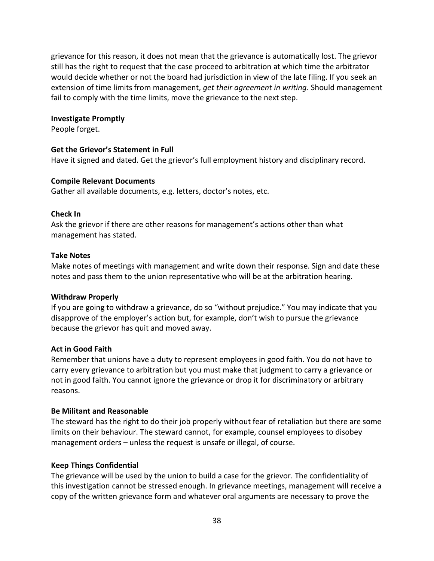grievance for this reason, it does not mean that the grievance is automatically lost. The grievor still has the right to request that the case proceed to arbitration at which time the arbitrator would decide whether or not the board had jurisdiction in view of the late filing. If you seek an extension of time limits from management, *get their agreement in writing*. Should management fail to comply with the time limits, move the grievance to the next step.

### **Investigate Promptly**

People forget.

### **Get the Grievor's Statement in Full**

Have it signed and dated. Get the grievor's full employment history and disciplinary record.

### **Compile Relevant Documents**

Gather all available documents, e.g. letters, doctor's notes, etc.

### **Check In**

Ask the grievor if there are other reasons for management's actions other than what management has stated.

### **Take Notes**

Make notes of meetings with management and write down their response. Sign and date these notes and pass them to the union representative who will be at the arbitration hearing.

### **Withdraw Properly**

If you are going to withdraw a grievance, do so "without prejudice." You may indicate that you disapprove of the employer's action but, for example, don't wish to pursue the grievance because the grievor has quit and moved away.

### **Act in Good Faith**

Remember that unions have a duty to represent employees in good faith. You do not have to carry every grievance to arbitration but you must make that judgment to carry a grievance or not in good faith. You cannot ignore the grievance or drop it for discriminatory or arbitrary reasons.

#### **Be Militant and Reasonable**

The steward has the right to do their job properly without fear of retaliation but there are some limits on their behaviour. The steward cannot, for example, counsel employees to disobey management orders – unless the request is unsafe or illegal, of course.

### **Keep Things Confidential**

The grievance will be used by the union to build a case for the grievor. The confidentiality of this investigation cannot be stressed enough. In grievance meetings, management will receive a copy of the written grievance form and whatever oral arguments are necessary to prove the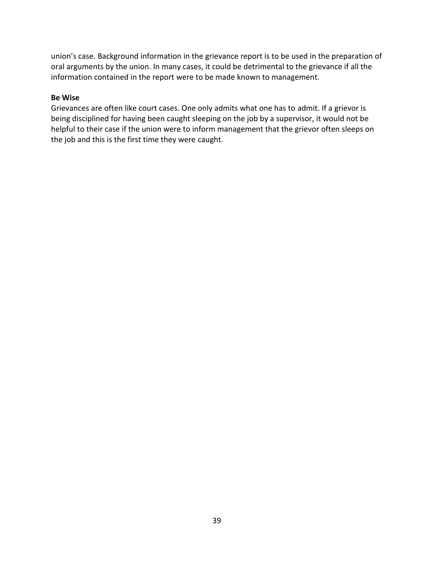union's case. Background information in the grievance report is to be used in the preparation of oral arguments by the union. In many cases, it could be detrimental to the grievance if all the information contained in the report were to be made known to management.

## **Be Wise**

Grievances are often like court cases. One only admits what one has to admit. If a grievor is being disciplined for having been caught sleeping on the job by a supervisor, it would not be helpful to their case if the union were to inform management that the grievor often sleeps on the job and this is the first time they were caught.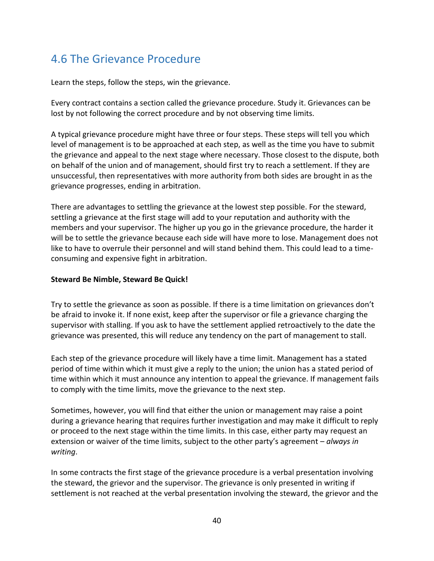## <span id="page-39-0"></span>4.6 The Grievance Procedure

Learn the steps, follow the steps, win the grievance.

Every contract contains a section called the grievance procedure. Study it. Grievances can be lost by not following the correct procedure and by not observing time limits.

A typical grievance procedure might have three or four steps. These steps will tell you which level of management is to be approached at each step, as well as the time you have to submit the grievance and appeal to the next stage where necessary. Those closest to the dispute, both on behalf of the union and of management, should first try to reach a settlement. If they are unsuccessful, then representatives with more authority from both sides are brought in as the grievance progresses, ending in arbitration.

There are advantages to settling the grievance at the lowest step possible. For the steward, settling a grievance at the first stage will add to your reputation and authority with the members and your supervisor. The higher up you go in the grievance procedure, the harder it will be to settle the grievance because each side will have more to lose. Management does not like to have to overrule their personnel and will stand behind them. This could lead to a timeconsuming and expensive fight in arbitration.

## **Steward Be Nimble, Steward Be Quick!**

Try to settle the grievance as soon as possible. If there is a time limitation on grievances don't be afraid to invoke it. If none exist, keep after the supervisor or file a grievance charging the supervisor with stalling. If you ask to have the settlement applied retroactively to the date the grievance was presented, this will reduce any tendency on the part of management to stall.

Each step of the grievance procedure will likely have a time limit. Management has a stated period of time within which it must give a reply to the union; the union has a stated period of time within which it must announce any intention to appeal the grievance. If management fails to comply with the time limits, move the grievance to the next step.

Sometimes, however, you will find that either the union or management may raise a point during a grievance hearing that requires further investigation and may make it difficult to reply or proceed to the next stage within the time limits. In this case, either party may request an extension or waiver of the time limits, subject to the other party's agreement – *always in writing*.

In some contracts the first stage of the grievance procedure is a verbal presentation involving the steward, the grievor and the supervisor. The grievance is only presented in writing if settlement is not reached at the verbal presentation involving the steward, the grievor and the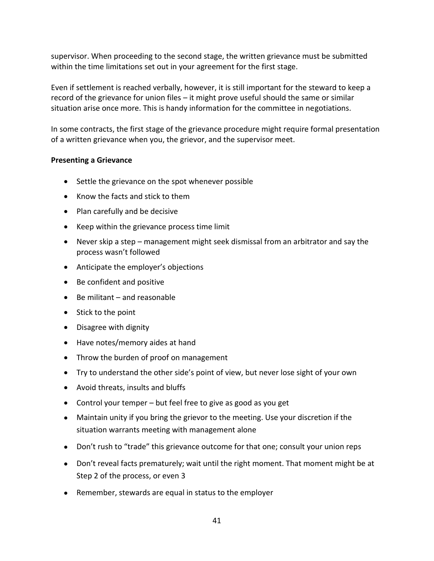supervisor. When proceeding to the second stage, the written grievance must be submitted within the time limitations set out in your agreement for the first stage.

Even if settlement is reached verbally, however, it is still important for the steward to keep a record of the grievance for union files – it might prove useful should the same or similar situation arise once more. This is handy information for the committee in negotiations.

In some contracts, the first stage of the grievance procedure might require formal presentation of a written grievance when you, the grievor, and the supervisor meet.

## **Presenting a Grievance**

- Settle the grievance on the spot whenever possible
- $\bullet$  Know the facts and stick to them
- Plan carefully and be decisive
- Keep within the grievance process time limit
- Never skip a step management might seek dismissal from an arbitrator and say the process wasn't followed
- Anticipate the employer's objections
- Be confident and positive
- $\bullet$  Be militant and reasonable
- Stick to the point
- Disagree with dignity
- Have notes/memory aides at hand
- Throw the burden of proof on management
- Try to understand the other side's point of view, but never lose sight of your own
- Avoid threats, insults and bluffs
- Control your temper but feel free to give as good as you get
- Maintain unity if you bring the grievor to the meeting. Use your discretion if the situation warrants meeting with management alone
- Don't rush to "trade" this grievance outcome for that one; consult your union reps
- Don't reveal facts prematurely; wait until the right moment. That moment might be at Step 2 of the process, or even 3
- Remember, stewards are equal in status to the employer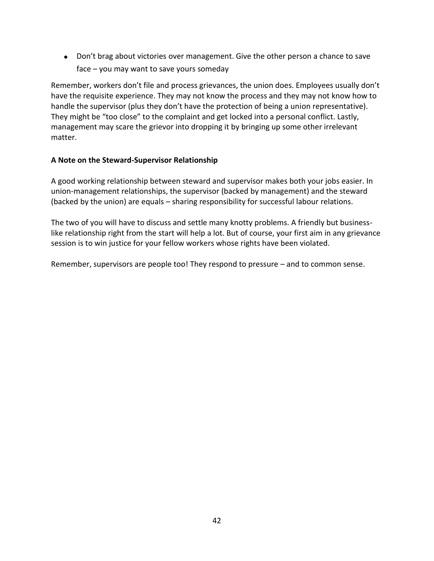Don't brag about victories over management. Give the other person a chance to save face – you may want to save yours someday

Remember, workers don't file and process grievances, the union does. Employees usually don't have the requisite experience. They may not know the process and they may not know how to handle the supervisor (plus they don't have the protection of being a union representative). They might be "too close" to the complaint and get locked into a personal conflict. Lastly, management may scare the grievor into dropping it by bringing up some other irrelevant matter.

## **A Note on the Steward-Supervisor Relationship**

A good working relationship between steward and supervisor makes both your jobs easier. In union-management relationships, the supervisor (backed by management) and the steward (backed by the union) are equals – sharing responsibility for successful labour relations.

The two of you will have to discuss and settle many knotty problems. A friendly but businesslike relationship right from the start will help a lot. But of course, your first aim in any grievance session is to win justice for your fellow workers whose rights have been violated.

Remember, supervisors are people too! They respond to pressure – and to common sense.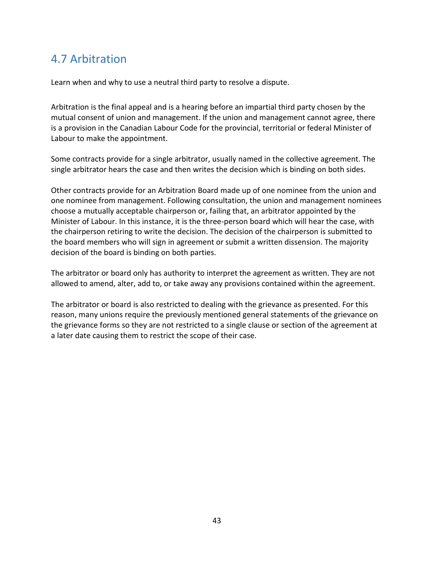## <span id="page-42-0"></span>4.7 Arbitration

Learn when and why to use a neutral third party to resolve a dispute.

Arbitration is the final appeal and is a hearing before an impartial third party chosen by the mutual consent of union and management. If the union and management cannot agree, there is a provision in the Canadian Labour Code for the provincial, territorial or federal Minister of Labour to make the appointment.

Some contracts provide for a single arbitrator, usually named in the collective agreement. The single arbitrator hears the case and then writes the decision which is binding on both sides.

Other contracts provide for an Arbitration Board made up of one nominee from the union and one nominee from management. Following consultation, the union and management nominees choose a mutually acceptable chairperson or, failing that, an arbitrator appointed by the Minister of Labour. In this instance, it is the three-person board which will hear the case, with the chairperson retiring to write the decision. The decision of the chairperson is submitted to the board members who will sign in agreement or submit a written dissension. The majority decision of the board is binding on both parties.

The arbitrator or board only has authority to interpret the agreement as written. They are not allowed to amend, alter, add to, or take away any provisions contained within the agreement.

The arbitrator or board is also restricted to dealing with the grievance as presented. For this reason, many unions require the previously mentioned general statements of the grievance on the grievance forms so they are not restricted to a single clause or section of the agreement at a later date causing them to restrict the scope of their case.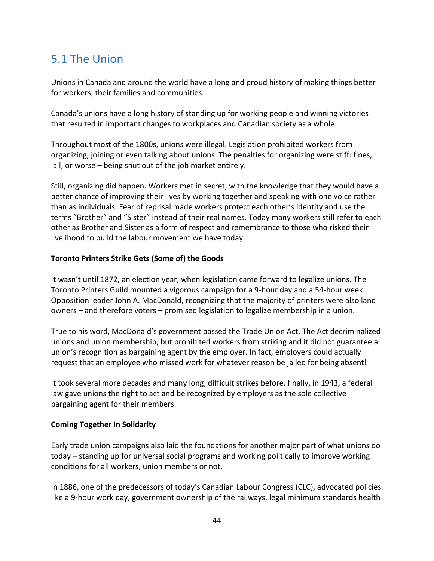## <span id="page-43-0"></span>5.1 The Union

Unions in Canada and around the world have a long and proud history of making things better for workers, their families and communities.

Canada's unions have a long history of standing up for working people and winning victories that resulted in important changes to workplaces and Canadian society as a whole.

Throughout most of the 1800s, unions were illegal. Legislation prohibited workers from organizing, joining or even talking about unions. The penalties for organizing were stiff: fines, jail, or worse – being shut out of the job market entirely.

Still, organizing did happen. Workers met in secret, with the knowledge that they would have a better chance of improving their lives by working together and speaking with one voice rather than as individuals. Fear of reprisal made workers protect each other's identity and use the terms "Brother" and "Sister" instead of their real names. Today many workers still refer to each other as Brother and Sister as a form of respect and remembrance to those who risked their livelihood to build the labour movement we have today.

## **Toronto Printers Strike Gets (Some of) the Goods**

It wasn't until 1872, an election year, when legislation came forward to legalize unions. The Toronto Printers Guild mounted a vigorous campaign for a 9-hour day and a 54-hour week. Opposition leader John A. MacDonald, recognizing that the majority of printers were also land owners – and therefore voters – promised legislation to legalize membership in a union.

True to his word, MacDonald's government passed the Trade Union Act. The Act decriminalized unions and union membership, but prohibited workers from striking and it did not guarantee a union's recognition as bargaining agent by the employer. In fact, employers could actually request that an employee who missed work for whatever reason be jailed for being absent!

It took several more decades and many long, difficult strikes before, finally, in 1943, a federal law gave unions the right to act and be recognized by employers as the sole collective bargaining agent for their members.

## **Coming Together In Solidarity**

Early trade union campaigns also laid the foundations for another major part of what unions do today – standing up for universal social programs and working politically to improve working conditions for all workers, union members or not.

In 1886, one of the predecessors of today's Canadian Labour Congress (CLC), advocated policies like a 9-hour work day, government ownership of the railways, legal minimum standards health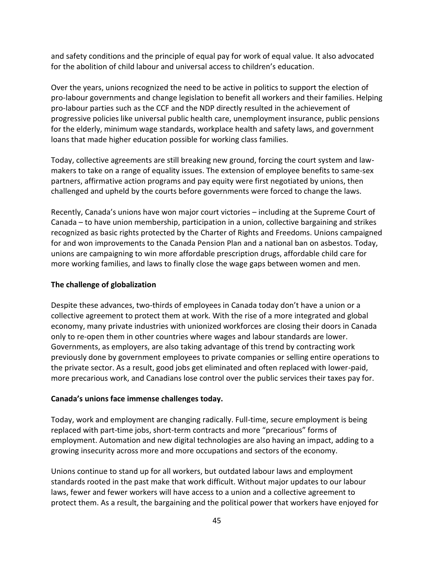and safety conditions and the principle of equal pay for work of equal value. It also advocated for the abolition of child labour and universal access to children's education.

Over the years, unions recognized the need to be active in politics to support the election of pro-labour governments and change legislation to benefit all workers and their families. Helping pro-labour parties such as the CCF and the NDP directly resulted in the achievement of progressive policies like universal public health care, unemployment insurance, public pensions for the elderly, minimum wage standards, workplace health and safety laws, and government loans that made higher education possible for working class families.

Today, collective agreements are still breaking new ground, forcing the court system and lawmakers to take on a range of equality issues. The extension of employee benefits to same-sex partners, affirmative action programs and pay equity were first negotiated by unions, then challenged and upheld by the courts before governments were forced to change the laws.

Recently, Canada's unions have won major court victories – including at the Supreme Court of Canada – to have union membership, participation in a union, collective bargaining and strikes recognized as basic rights protected by the Charter of Rights and Freedoms. Unions campaigned for and won improvements to the Canada Pension Plan and a national ban on asbestos. Today, unions are campaigning to win more affordable prescription drugs, affordable child care for more working families, and laws to finally close the wage gaps between women and men.

## **The challenge of globalization**

Despite these advances, two-thirds of employees in Canada today don't have a union or a collective agreement to protect them at work. With the rise of a more integrated and global economy, many private industries with unionized workforces are closing their doors in Canada only to re-open them in other countries where wages and labour standards are lower. Governments, as employers, are also taking advantage of this trend by contracting work previously done by government employees to private companies or selling entire operations to the private sector. As a result, good jobs get eliminated and often replaced with lower-paid, more precarious work, and Canadians lose control over the public services their taxes pay for.

## **Canada's unions face immense challenges today.**

Today, work and employment are changing radically. Full-time, secure employment is being replaced with part-time jobs, short-term contracts and more "precarious" forms of employment. Automation and new digital technologies are also having an impact, adding to a growing insecurity across more and more occupations and sectors of the economy.

Unions continue to stand up for all workers, but outdated labour laws and employment standards rooted in the past make that work difficult. Without major updates to our labour laws, fewer and fewer workers will have access to a union and a collective agreement to protect them. As a result, the bargaining and the political power that workers have enjoyed for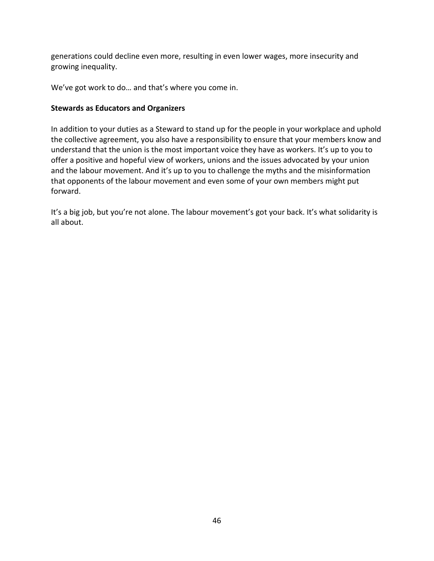generations could decline even more, resulting in even lower wages, more insecurity and growing inequality.

We've got work to do… and that's where you come in.

## **Stewards as Educators and Organizers**

In addition to your duties as a Steward to stand up for the people in your workplace and uphold the collective agreement, you also have a responsibility to ensure that your members know and understand that the union is the most important voice they have as workers. It's up to you to offer a positive and hopeful view of workers, unions and the issues advocated by your union and the labour movement. And it's up to you to challenge the myths and the misinformation that opponents of the labour movement and even some of your own members might put forward.

It's a big job, but you're not alone. The labour movement's got your back. It's what solidarity is all about.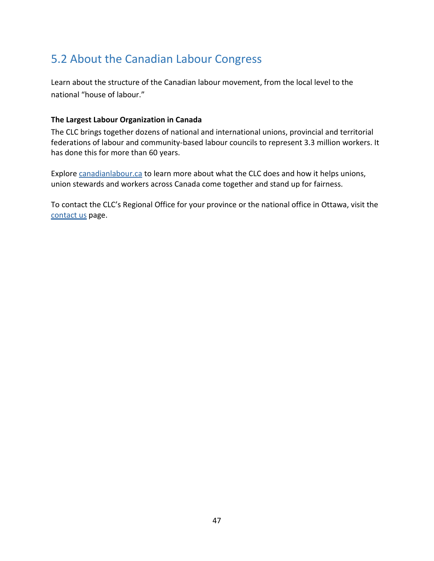## <span id="page-46-0"></span>5.2 About the Canadian Labour Congress

Learn about the structure of the Canadian labour movement, from the local level to the national "house of labour."

## **The Largest Labour Organization in Canada**

The CLC brings together dozens of national and international unions, provincial and territorial federations of labour and community-based labour councils to represent 3.3 million workers. It has done this for more than 60 years.

Explore canadianlabour.ca to learn more about what the CLC does and how it helps unions, union stewards and workers across Canada come together and stand up for fairness.

To contact the CLC's Regional Office for your province or the national office in Ottawa, visit the contact us page.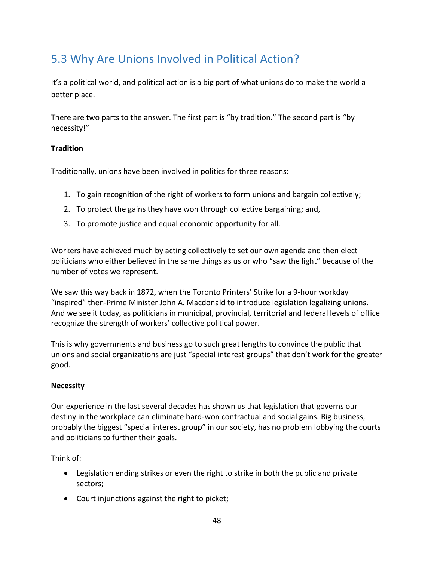## <span id="page-47-0"></span>5.3 Why Are Unions Involved in Political Action?

It's a political world, and political action is a big part of what unions do to make the world a better place.

There are two parts to the answer. The first part is "by tradition." The second part is "by necessity!"

## **Tradition**

Traditionally, unions have been involved in politics for three reasons:

- 1. To gain recognition of the right of workers to form unions and bargain collectively;
- 2. To protect the gains they have won through collective bargaining; and,
- 3. To promote justice and equal economic opportunity for all.

Workers have achieved much by acting collectively to set our own agenda and then elect politicians who either believed in the same things as us or who "saw the light" because of the number of votes we represent.

We saw this way back in 1872, when the Toronto Printers' Strike for a 9-hour workday "inspired" then-Prime Minister John A. Macdonald to introduce legislation legalizing unions. And we see it today, as politicians in municipal, provincial, territorial and federal levels of office recognize the strength of workers' collective political power.

This is why governments and business go to such great lengths to convince the public that unions and social organizations are just "special interest groups" that don't work for the greater good.

## **Necessity**

Our experience in the last several decades has shown us that legislation that governs our destiny in the workplace can eliminate hard-won contractual and social gains. Big business, probably the biggest "special interest group" in our society, has no problem lobbying the courts and politicians to further their goals.

Think of:

- Legislation ending strikes or even the right to strike in both the public and private sectors;
- Court injunctions against the right to picket;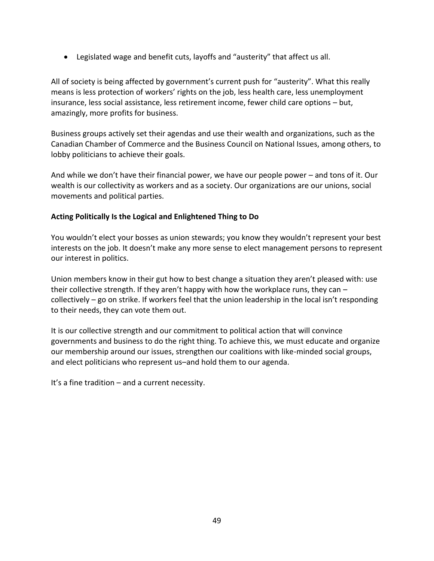Legislated wage and benefit cuts, layoffs and "austerity" that affect us all.

All of society is being affected by government's current push for "austerity". What this really means is less protection of workers' rights on the job, less health care, less unemployment insurance, less social assistance, less retirement income, fewer child care options – but, amazingly, more profits for business.

Business groups actively set their agendas and use their wealth and organizations, such as the Canadian Chamber of Commerce and the Business Council on National Issues, among others, to lobby politicians to achieve their goals.

And while we don't have their financial power, we have our people power – and tons of it. Our wealth is our collectivity as workers and as a society. Our organizations are our unions, social movements and political parties.

## **Acting Politically Is the Logical and Enlightened Thing to Do**

You wouldn't elect your bosses as union stewards; you know they wouldn't represent your best interests on the job. It doesn't make any more sense to elect management persons to represent our interest in politics.

Union members know in their gut how to best change a situation they aren't pleased with: use their collective strength. If they aren't happy with how the workplace runs, they can  $$ collectively – go on strike. If workers feel that the union leadership in the local isn't responding to their needs, they can vote them out.

It is our collective strength and our commitment to political action that will convince governments and business to do the right thing. To achieve this, we must educate and organize our membership around our issues, strengthen our coalitions with like-minded social groups, and elect politicians who represent us–and hold them to our agenda.

It's a fine tradition – and a current necessity.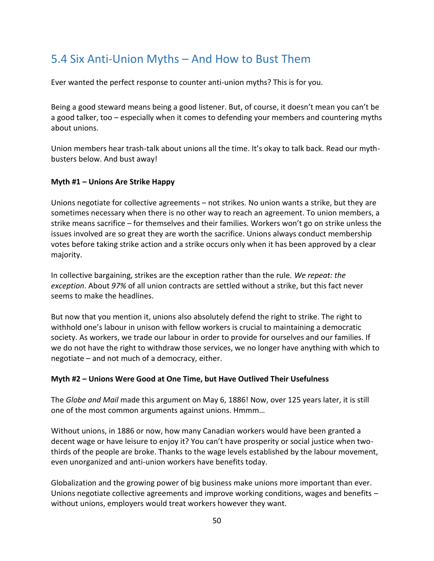## <span id="page-49-0"></span>5.4 Six Anti-Union Myths – And How to Bust Them

Ever wanted the perfect response to counter anti-union myths? This is for you.

Being a good steward means being a good listener. But, of course, it doesn't mean you can't be a good talker, too – especially when it comes to defending your members and countering myths about unions.

Union members hear trash-talk about unions all the time. It's okay to talk back. Read our mythbusters below. And bust away!

## **Myth #1 – Unions Are Strike Happy**

Unions negotiate for collective agreements – not strikes. No union wants a strike, but they are sometimes necessary when there is no other way to reach an agreement. To union members, a strike means sacrifice – for themselves and their families. Workers won't go on strike unless the issues involved are so great they are worth the sacrifice. Unions always conduct membership votes before taking strike action and a strike occurs only when it has been approved by a clear majority.

In collective bargaining, strikes are the exception rather than the rule. *We repeat: the exception*. About *97%* of all union contracts are settled without a strike, but this fact never seems to make the headlines.

But now that you mention it, unions also absolutely defend the right to strike. The right to withhold one's labour in unison with fellow workers is crucial to maintaining a democratic society. As workers, we trade our labour in order to provide for ourselves and our families. If we do not have the right to withdraw those services, we no longer have anything with which to negotiate – and not much of a democracy, either.

## **Myth #2 – Unions Were Good at One Time, but Have Outlived Their Usefulness**

The *Globe and Mail* made this argument on May 6, 1886! Now, over 125 years later, it is still one of the most common arguments against unions. Hmmm…

Without unions, in 1886 or now, how many Canadian workers would have been granted a decent wage or have leisure to enjoy it? You can't have prosperity or social justice when twothirds of the people are broke. Thanks to the wage levels established by the labour movement, even unorganized and anti-union workers have benefits today.

Globalization and the growing power of big business make unions more important than ever. Unions negotiate collective agreements and improve working conditions, wages and benefits – without unions, employers would treat workers however they want.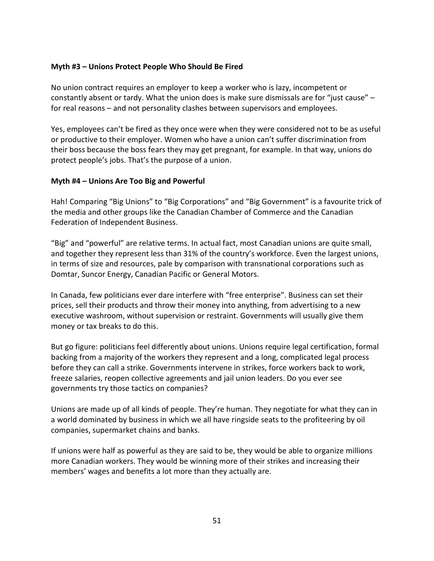## **Myth #3 – Unions Protect People Who Should Be Fired**

No union contract requires an employer to keep a worker who is lazy, incompetent or constantly absent or tardy. What the union does is make sure dismissals are for "just cause" – for real reasons – and not personality clashes between supervisors and employees.

Yes, employees can't be fired as they once were when they were considered not to be as useful or productive to their employer. Women who have a union can't suffer discrimination from their boss because the boss fears they may get pregnant, for example. In that way, unions do protect people's jobs. That's the purpose of a union.

## **Myth #4 – Unions Are Too Big and Powerful**

Hah! Comparing "Big Unions" to "Big Corporations" and "Big Government" is a favourite trick of the media and other groups like the Canadian Chamber of Commerce and the Canadian Federation of Independent Business.

"Big" and "powerful" are relative terms. In actual fact, most Canadian unions are quite small, and together they represent less than 31% of the country's workforce. Even the largest unions, in terms of size and resources, pale by comparison with transnational corporations such as Domtar, Suncor Energy, Canadian Pacific or General Motors.

In Canada, few politicians ever dare interfere with "free enterprise". Business can set their prices, sell their products and throw their money into anything, from advertising to a new executive washroom, without supervision or restraint. Governments will usually give them money or tax breaks to do this.

But go figure: politicians feel differently about unions. Unions require legal certification, formal backing from a majority of the workers they represent and a long, complicated legal process before they can call a strike. Governments intervene in strikes, force workers back to work, freeze salaries, reopen collective agreements and jail union leaders. Do you ever see governments try those tactics on companies?

Unions are made up of all kinds of people. They're human. They negotiate for what they can in a world dominated by business in which we all have ringside seats to the profiteering by oil companies, supermarket chains and banks.

If unions were half as powerful as they are said to be, they would be able to organize millions more Canadian workers. They would be winning more of their strikes and increasing their members' wages and benefits a lot more than they actually are.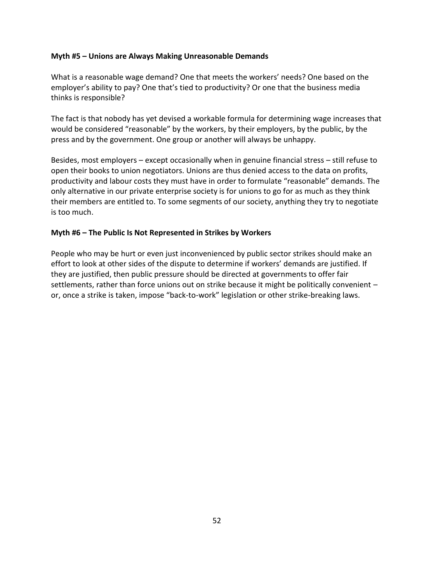### **Myth #5 – Unions are Always Making Unreasonable Demands**

What is a reasonable wage demand? One that meets the workers' needs? One based on the employer's ability to pay? One that's tied to productivity? Or one that the business media thinks is responsible?

The fact is that nobody has yet devised a workable formula for determining wage increases that would be considered "reasonable" by the workers, by their employers, by the public, by the press and by the government. One group or another will always be unhappy.

Besides, most employers – except occasionally when in genuine financial stress – still refuse to open their books to union negotiators. Unions are thus denied access to the data on profits, productivity and labour costs they must have in order to formulate "reasonable" demands. The only alternative in our private enterprise society is for unions to go for as much as they think their members are entitled to. To some segments of our society, anything they try to negotiate is too much.

### **Myth #6 – The Public Is Not Represented in Strikes by Workers**

People who may be hurt or even just inconvenienced by public sector strikes should make an effort to look at other sides of the dispute to determine if workers' demands are justified. If they are justified, then public pressure should be directed at governments to offer fair settlements, rather than force unions out on strike because it might be politically convenient – or, once a strike is taken, impose "back-to-work" legislation or other strike-breaking laws.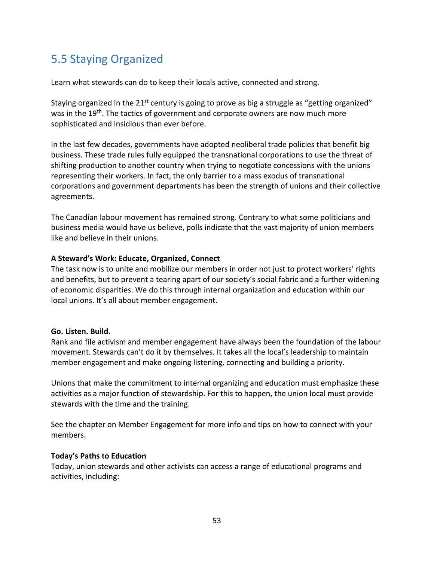## <span id="page-52-0"></span>5.5 Staying Organized

Learn what stewards can do to keep their locals active, connected and strong.

Staying organized in the 21<sup>st</sup> century is going to prove as big a struggle as "getting organized" was in the 19<sup>th</sup>. The tactics of government and corporate owners are now much more sophisticated and insidious than ever before.

In the last few decades, governments have adopted neoliberal trade policies that benefit big business. These trade rules fully equipped the transnational corporations to use the threat of shifting production to another country when trying to negotiate concessions with the unions representing their workers. In fact, the only barrier to a mass exodus of transnational corporations and government departments has been the strength of unions and their collective agreements.

The Canadian labour movement has remained strong. Contrary to what some politicians and business media would have us believe, polls indicate that the vast majority of union members like and believe in their unions.

### **A Steward's Work: Educate, Organized, Connect**

The task now is to unite and mobilize our members in order not just to protect workers' rights and benefits, but to prevent a tearing apart of our society's social fabric and a further widening of economic disparities. We do this through internal organization and education within our local unions. It's all about member engagement.

### **Go. Listen. Build.**

Rank and file activism and member engagement have always been the foundation of the labour movement. Stewards can't do it by themselves. It takes all the local's leadership to maintain member engagement and make ongoing listening, connecting and building a priority.

Unions that make the commitment to internal organizing and education must emphasize these activities as a major function of stewardship. For this to happen, the union local must provide stewards with the time and the training.

See the chapter on Member Engagement for more info and tips on how to connect with your members.

### **Today's Paths to Education**

Today, union stewards and other activists can access a range of educational programs and activities, including: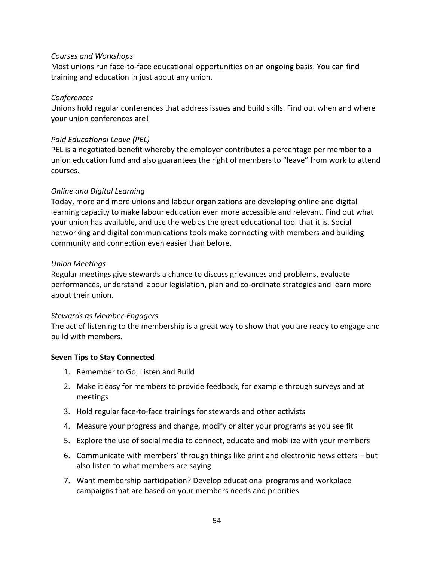### *Courses and Workshops*

Most unions run face-to-face educational opportunities on an ongoing basis. You can find training and education in just about any union.

## *Conferences*

Unions hold regular conferences that address issues and build skills. Find out when and where your union conferences are!

## *Paid Educational Leave (PEL)*

PEL is a negotiated benefit whereby the employer contributes a percentage per member to a union education fund and also guarantees the right of members to "leave" from work to attend courses.

## *Online and Digital Learning*

Today, more and more unions and labour organizations are developing online and digital learning capacity to make labour education even more accessible and relevant. Find out what your union has available, and use the web as the great educational tool that it is. Social networking and digital communications tools make connecting with members and building community and connection even easier than before.

### *Union Meetings*

Regular meetings give stewards a chance to discuss grievances and problems, evaluate performances, understand labour legislation, plan and co-ordinate strategies and learn more about their union.

### *Stewards as Member-Engagers*

The act of listening to the membership is a great way to show that you are ready to engage and build with members.

## **Seven Tips to Stay Connected**

- 1. Remember to Go, Listen and Build
- 2. Make it easy for members to provide feedback, for example through surveys and at meetings
- 3. Hold regular face-to-face trainings for stewards and other activists
- 4. Measure your progress and change, modify or alter your programs as you see fit
- 5. Explore the use of social media to connect, educate and mobilize with your members
- 6. Communicate with members' through things like print and electronic newsletters but also listen to what members are saying
- 7. Want membership participation? Develop educational programs and workplace campaigns that are based on your members needs and priorities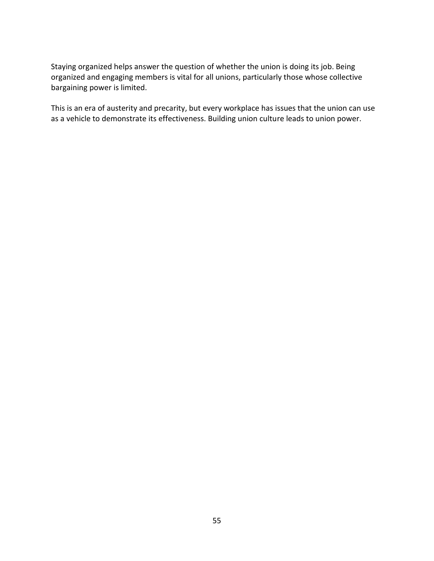Staying organized helps answer the question of whether the union is doing its job. Being organized and engaging members is vital for all unions, particularly those whose collective bargaining power is limited.

This is an era of austerity and precarity, but every workplace has issues that the union can use as a vehicle to demonstrate its effectiveness. Building union culture leads to union power.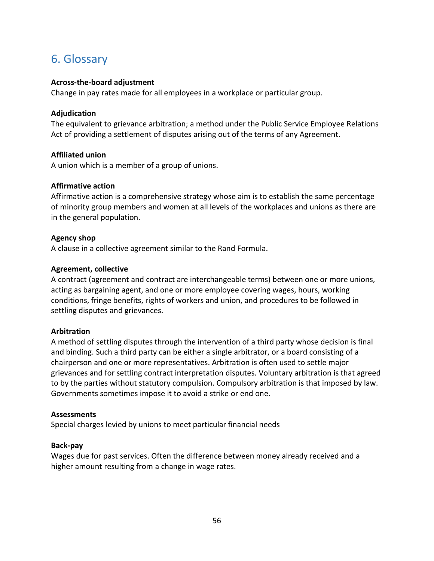## <span id="page-55-0"></span>6. Glossary

### **Across-the-board adjustment**

Change in pay rates made for all employees in a workplace or particular group.

### **Adjudication**

The equivalent to grievance arbitration; a method under the Public Service Employee Relations Act of providing a settlement of disputes arising out of the terms of any Agreement.

## **Affiliated union**

A union which is a member of a group of unions.

## **Affirmative action**

Affirmative action is a comprehensive strategy whose aim is to establish the same percentage of minority group members and women at all levels of the workplaces and unions as there are in the general population.

## **Agency shop**

A clause in a collective agreement similar to the Rand Formula.

## **Agreement, collective**

A contract (agreement and contract are interchangeable terms) between one or more unions, acting as bargaining agent, and one or more employee covering wages, hours, working conditions, fringe benefits, rights of workers and union, and procedures to be followed in settling disputes and grievances.

## **Arbitration**

A method of settling disputes through the intervention of a third party whose decision is final and binding. Such a third party can be either a single arbitrator, or a board consisting of a chairperson and one or more representatives. Arbitration is often used to settle major grievances and for settling contract interpretation disputes. Voluntary arbitration is that agreed to by the parties without statutory compulsion. Compulsory arbitration is that imposed by law. Governments sometimes impose it to avoid a strike or end one.

### **Assessments**

Special charges levied by unions to meet particular financial needs

### **Back-pay**

Wages due for past services. Often the difference between money already received and a higher amount resulting from a change in wage rates.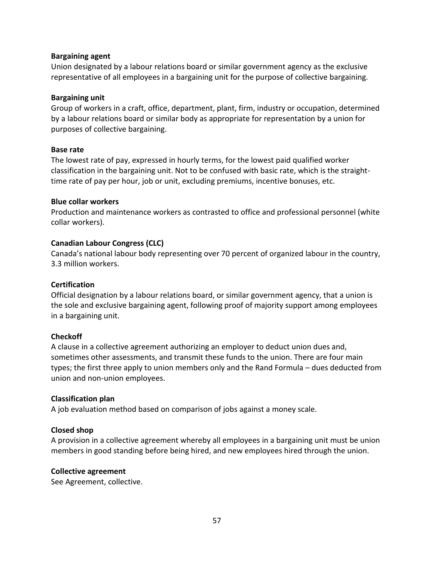### **Bargaining agent**

Union designated by a labour relations board or similar government agency as the exclusive representative of all employees in a bargaining unit for the purpose of collective bargaining.

### **Bargaining unit**

Group of workers in a craft, office, department, plant, firm, industry or occupation, determined by a labour relations board or similar body as appropriate for representation by a union for purposes of collective bargaining.

### **Base rate**

The lowest rate of pay, expressed in hourly terms, for the lowest paid qualified worker classification in the bargaining unit. Not to be confused with basic rate, which is the straighttime rate of pay per hour, job or unit, excluding premiums, incentive bonuses, etc.

### **Blue collar workers**

Production and maintenance workers as contrasted to office and professional personnel (white collar workers).

### **Canadian Labour Congress (CLC)**

Canada's national labour body representing over 70 percent of organized labour in the country, 3.3 million workers.

### **Certification**

Official designation by a labour relations board, or similar government agency, that a union is the sole and exclusive bargaining agent, following proof of majority support among employees in a bargaining unit.

### **Checkoff**

A clause in a collective agreement authorizing an employer to deduct union dues and, sometimes other assessments, and transmit these funds to the union. There are four main types; the first three apply to union members only and the Rand Formula – dues deducted from union and non-union employees.

#### **Classification plan**

A job evaluation method based on comparison of jobs against a money scale.

### **Closed shop**

A provision in a collective agreement whereby all employees in a bargaining unit must be union members in good standing before being hired, and new employees hired through the union.

#### **Collective agreement**

See Agreement, collective.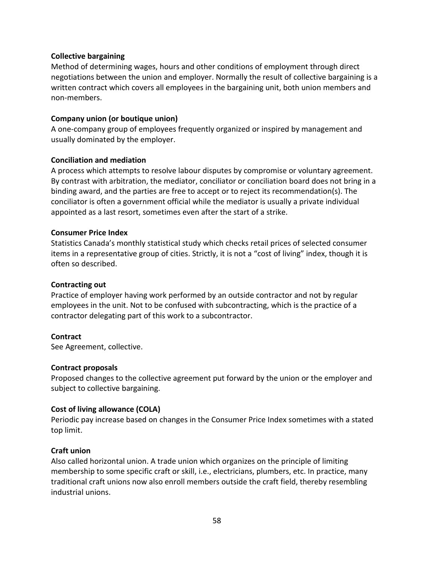### **Collective bargaining**

Method of determining wages, hours and other conditions of employment through direct negotiations between the union and employer. Normally the result of collective bargaining is a written contract which covers all employees in the bargaining unit, both union members and non-members.

## **Company union (or boutique union)**

A one-company group of employees frequently organized or inspired by management and usually dominated by the employer.

### **Conciliation and mediation**

A process which attempts to resolve labour disputes by compromise or voluntary agreement. By contrast with arbitration, the mediator, conciliator or conciliation board does not bring in a binding award, and the parties are free to accept or to reject its recommendation(s). The conciliator is often a government official while the mediator is usually a private individual appointed as a last resort, sometimes even after the start of a strike.

### **Consumer Price Index**

Statistics Canada's monthly statistical study which checks retail prices of selected consumer items in a representative group of cities. Strictly, it is not a "cost of living" index, though it is often so described.

### **Contracting out**

Practice of employer having work performed by an outside contractor and not by regular employees in the unit. Not to be confused with subcontracting, which is the practice of a contractor delegating part of this work to a subcontractor.

## **Contract**

See Agreement, collective.

### **Contract proposals**

Proposed changes to the collective agreement put forward by the union or the employer and subject to collective bargaining.

### **Cost of living allowance (COLA)**

Periodic pay increase based on changes in the Consumer Price Index sometimes with a stated top limit.

### **Craft union**

Also called horizontal union. A trade union which organizes on the principle of limiting membership to some specific craft or skill, i.e., electricians, plumbers, etc. In practice, many traditional craft unions now also enroll members outside the craft field, thereby resembling industrial unions.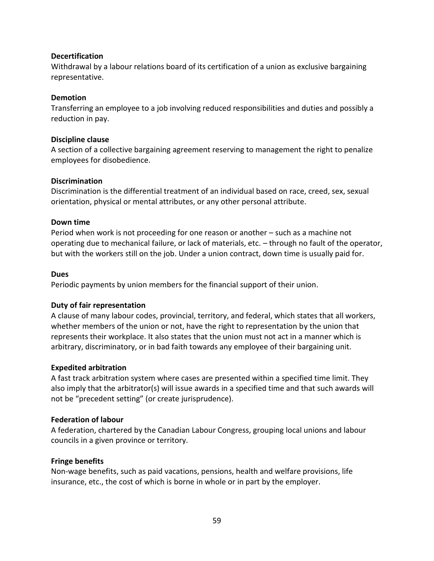## **Decertification**

Withdrawal by a labour relations board of its certification of a union as exclusive bargaining representative.

## **Demotion**

Transferring an employee to a job involving reduced responsibilities and duties and possibly a reduction in pay.

### **Discipline clause**

A section of a collective bargaining agreement reserving to management the right to penalize employees for disobedience.

## **Discrimination**

Discrimination is the differential treatment of an individual based on race, creed, sex, sexual orientation, physical or mental attributes, or any other personal attribute.

## **Down time**

Period when work is not proceeding for one reason or another – such as a machine not operating due to mechanical failure, or lack of materials, etc. – through no fault of the operator, but with the workers still on the job. Under a union contract, down time is usually paid for.

## **Dues**

Periodic payments by union members for the financial support of their union.

## **Duty of fair representation**

A clause of many labour codes, provincial, territory, and federal, which states that all workers, whether members of the union or not, have the right to representation by the union that represents their workplace. It also states that the union must not act in a manner which is arbitrary, discriminatory, or in bad faith towards any employee of their bargaining unit.

### **Expedited arbitration**

A fast track arbitration system where cases are presented within a specified time limit. They also imply that the arbitrator(s) will issue awards in a specified time and that such awards will not be "precedent setting" (or create jurisprudence).

## **Federation of labour**

A federation, chartered by the Canadian Labour Congress, grouping local unions and labour councils in a given province or territory.

### **Fringe benefits**

Non-wage benefits, such as paid vacations, pensions, health and welfare provisions, life insurance, etc., the cost of which is borne in whole or in part by the employer.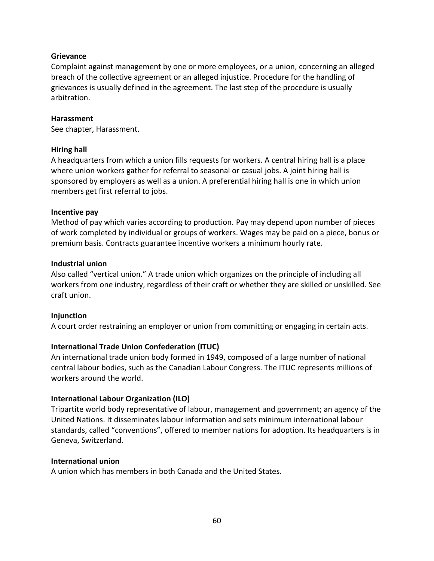### **Grievance**

Complaint against management by one or more employees, or a union, concerning an alleged breach of the collective agreement or an alleged injustice. Procedure for the handling of grievances is usually defined in the agreement. The last step of the procedure is usually arbitration.

#### **Harassment**

See chapter, Harassment.

### **Hiring hall**

A headquarters from which a union fills requests for workers. A central hiring hall is a place where union workers gather for referral to seasonal or casual jobs. A joint hiring hall is sponsored by employers as well as a union. A preferential hiring hall is one in which union members get first referral to jobs.

### **Incentive pay**

Method of pay which varies according to production. Pay may depend upon number of pieces of work completed by individual or groups of workers. Wages may be paid on a piece, bonus or premium basis. Contracts guarantee incentive workers a minimum hourly rate.

### **Industrial union**

Also called "vertical union." A trade union which organizes on the principle of including all workers from one industry, regardless of their craft or whether they are skilled or unskilled. See craft union.

### **Injunction**

A court order restraining an employer or union from committing or engaging in certain acts.

### **International Trade Union Confederation (ITUC)**

An international trade union body formed in 1949, composed of a large number of national central labour bodies, such as the Canadian Labour Congress. The ITUC represents millions of workers around the world.

### **International Labour Organization (ILO)**

Tripartite world body representative of labour, management and government; an agency of the United Nations. It disseminates labour information and sets minimum international labour standards, called "conventions", offered to member nations for adoption. Its headquarters is in Geneva, Switzerland.

#### **International union**

A union which has members in both Canada and the United States.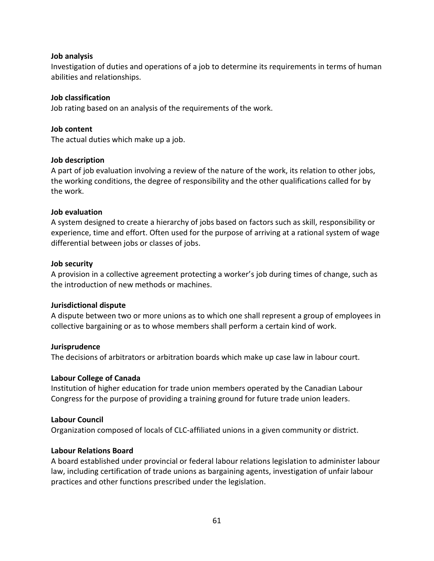### **Job analysis**

Investigation of duties and operations of a job to determine its requirements in terms of human abilities and relationships.

### **Job classification**

Job rating based on an analysis of the requirements of the work.

### **Job content**

The actual duties which make up a job.

### **Job description**

A part of job evaluation involving a review of the nature of the work, its relation to other jobs, the working conditions, the degree of responsibility and the other qualifications called for by the work.

### **Job evaluation**

A system designed to create a hierarchy of jobs based on factors such as skill, responsibility or experience, time and effort. Often used for the purpose of arriving at a rational system of wage differential between jobs or classes of jobs.

### **Job security**

A provision in a collective agreement protecting a worker's job during times of change, such as the introduction of new methods or machines.

### **Jurisdictional dispute**

A dispute between two or more unions as to which one shall represent a group of employees in collective bargaining or as to whose members shall perform a certain kind of work.

### **Jurisprudence**

The decisions of arbitrators or arbitration boards which make up case law in labour court.

#### **Labour College of Canada**

Institution of higher education for trade union members operated by the Canadian Labour Congress for the purpose of providing a training ground for future trade union leaders.

### **Labour Council**

Organization composed of locals of CLC-affiliated unions in a given community or district.

#### **Labour Relations Board**

A board established under provincial or federal labour relations legislation to administer labour law, including certification of trade unions as bargaining agents, investigation of unfair labour practices and other functions prescribed under the legislation.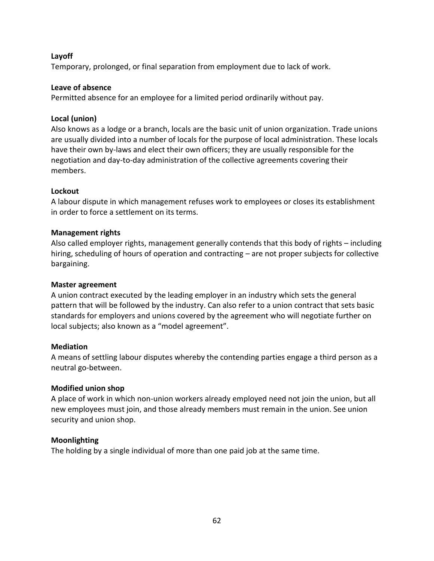## **Layoff**

Temporary, prolonged, or final separation from employment due to lack of work.

### **Leave of absence**

Permitted absence for an employee for a limited period ordinarily without pay.

## **Local (union)**

Also knows as a lodge or a branch, locals are the basic unit of union organization. Trade unions are usually divided into a number of locals for the purpose of local administration. These locals have their own by-laws and elect their own officers; they are usually responsible for the negotiation and day-to-day administration of the collective agreements covering their members.

## **Lockout**

A labour dispute in which management refuses work to employees or closes its establishment in order to force a settlement on its terms.

## **Management rights**

Also called employer rights, management generally contends that this body of rights – including hiring, scheduling of hours of operation and contracting – are not proper subjects for collective bargaining.

### **Master agreement**

A union contract executed by the leading employer in an industry which sets the general pattern that will be followed by the industry. Can also refer to a union contract that sets basic standards for employers and unions covered by the agreement who will negotiate further on local subjects; also known as a "model agreement".

### **Mediation**

A means of settling labour disputes whereby the contending parties engage a third person as a neutral go-between.

### **Modified union shop**

A place of work in which non-union workers already employed need not join the union, but all new employees must join, and those already members must remain in the union. See union security and union shop.

## **Moonlighting**

The holding by a single individual of more than one paid job at the same time.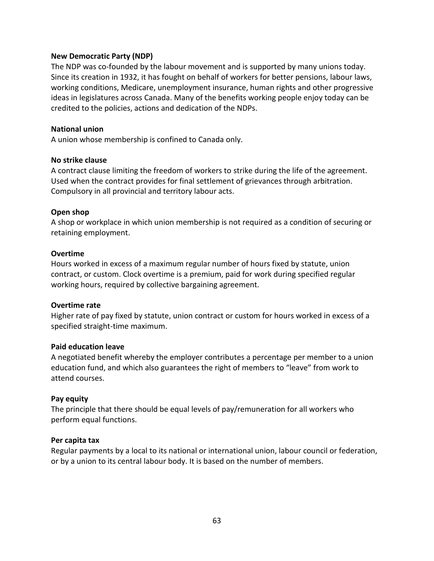### **New Democratic Party (NDP)**

The NDP was co-founded by the labour movement and is supported by many unions today. Since its creation in 1932, it has fought on behalf of workers for better pensions, labour laws, working conditions, Medicare, unemployment insurance, human rights and other progressive ideas in legislatures across Canada. Many of the benefits working people enjoy today can be credited to the policies, actions and dedication of the NDPs.

### **National union**

A union whose membership is confined to Canada only.

### **No strike clause**

A contract clause limiting the freedom of workers to strike during the life of the agreement. Used when the contract provides for final settlement of grievances through arbitration. Compulsory in all provincial and territory labour acts.

### **Open shop**

A shop or workplace in which union membership is not required as a condition of securing or retaining employment.

### **Overtime**

Hours worked in excess of a maximum regular number of hours fixed by statute, union contract, or custom. Clock overtime is a premium, paid for work during specified regular working hours, required by collective bargaining agreement.

### **Overtime rate**

Higher rate of pay fixed by statute, union contract or custom for hours worked in excess of a specified straight-time maximum.

### **Paid education leave**

A negotiated benefit whereby the employer contributes a percentage per member to a union education fund, and which also guarantees the right of members to "leave" from work to attend courses.

### **Pay equity**

The principle that there should be equal levels of pay/remuneration for all workers who perform equal functions.

### **Per capita tax**

Regular payments by a local to its national or international union, labour council or federation, or by a union to its central labour body. It is based on the number of members.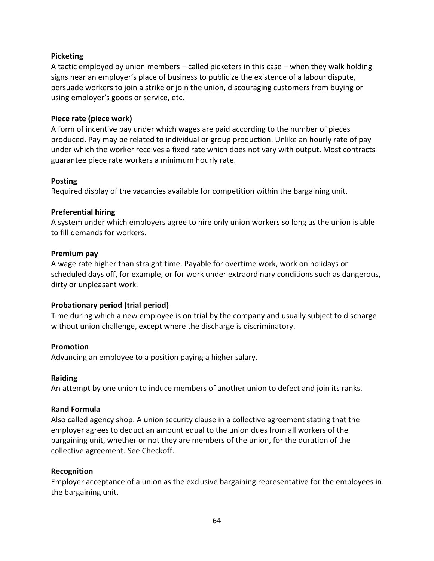### **Picketing**

A tactic employed by union members – called picketers in this case – when they walk holding signs near an employer's place of business to publicize the existence of a labour dispute, persuade workers to join a strike or join the union, discouraging customers from buying or using employer's goods or service, etc.

### **Piece rate (piece work)**

A form of incentive pay under which wages are paid according to the number of pieces produced. Pay may be related to individual or group production. Unlike an hourly rate of pay under which the worker receives a fixed rate which does not vary with output. Most contracts guarantee piece rate workers a minimum hourly rate.

### **Posting**

Required display of the vacancies available for competition within the bargaining unit.

## **Preferential hiring**

A system under which employers agree to hire only union workers so long as the union is able to fill demands for workers.

## **Premium pay**

A wage rate higher than straight time. Payable for overtime work, work on holidays or scheduled days off, for example, or for work under extraordinary conditions such as dangerous, dirty or unpleasant work.

## **Probationary period (trial period)**

Time during which a new employee is on trial by the company and usually subject to discharge without union challenge, except where the discharge is discriminatory.

## **Promotion**

Advancing an employee to a position paying a higher salary.

### **Raiding**

An attempt by one union to induce members of another union to defect and join its ranks.

### **Rand Formula**

Also called agency shop. A union security clause in a collective agreement stating that the employer agrees to deduct an amount equal to the union dues from all workers of the bargaining unit, whether or not they are members of the union, for the duration of the collective agreement. See Checkoff.

## **Recognition**

Employer acceptance of a union as the exclusive bargaining representative for the employees in the bargaining unit.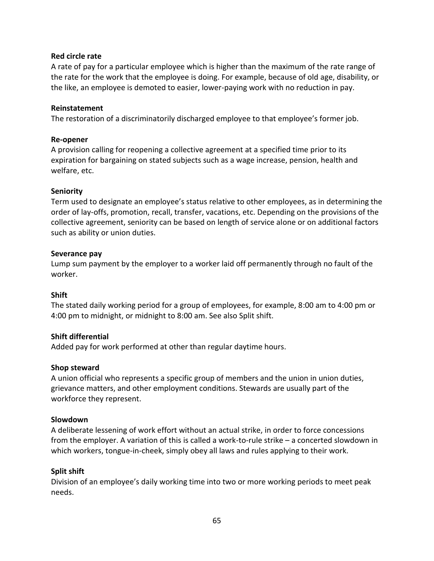### **Red circle rate**

A rate of pay for a particular employee which is higher than the maximum of the rate range of the rate for the work that the employee is doing. For example, because of old age, disability, or the like, an employee is demoted to easier, lower-paying work with no reduction in pay.

### **Reinstatement**

The restoration of a discriminatorily discharged employee to that employee's former job.

### **Re-opener**

A provision calling for reopening a collective agreement at a specified time prior to its expiration for bargaining on stated subjects such as a wage increase, pension, health and welfare, etc.

### **Seniority**

Term used to designate an employee's status relative to other employees, as in determining the order of lay-offs, promotion, recall, transfer, vacations, etc. Depending on the provisions of the collective agreement, seniority can be based on length of service alone or on additional factors such as ability or union duties.

### **Severance pay**

Lump sum payment by the employer to a worker laid off permanently through no fault of the worker.

### **Shift**

The stated daily working period for a group of employees, for example, 8:00 am to 4:00 pm or 4:00 pm to midnight, or midnight to 8:00 am. See also Split shift.

### **Shift differential**

Added pay for work performed at other than regular daytime hours.

### **Shop steward**

A union official who represents a specific group of members and the union in union duties, grievance matters, and other employment conditions. Stewards are usually part of the workforce they represent.

### **Slowdown**

A deliberate lessening of work effort without an actual strike, in order to force concessions from the employer. A variation of this is called a work-to-rule strike – a concerted slowdown in which workers, tongue-in-cheek, simply obey all laws and rules applying to their work.

### **Split shift**

Division of an employee's daily working time into two or more working periods to meet peak needs.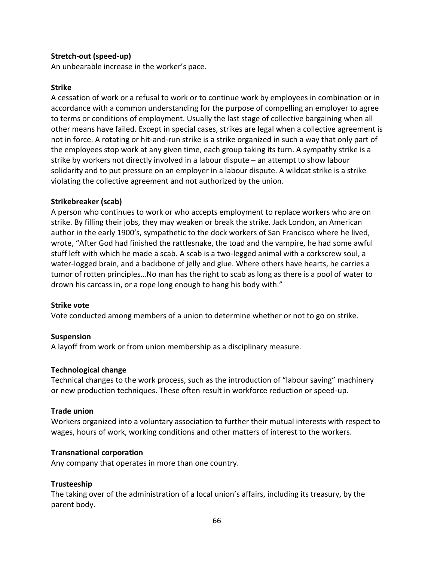### **Stretch-out (speed-up)**

An unbearable increase in the worker's pace.

### **Strike**

A cessation of work or a refusal to work or to continue work by employees in combination or in accordance with a common understanding for the purpose of compelling an employer to agree to terms or conditions of employment. Usually the last stage of collective bargaining when all other means have failed. Except in special cases, strikes are legal when a collective agreement is not in force. A rotating or hit-and-run strike is a strike organized in such a way that only part of the employees stop work at any given time, each group taking its turn. A sympathy strike is a strike by workers not directly involved in a labour dispute – an attempt to show labour solidarity and to put pressure on an employer in a labour dispute. A wildcat strike is a strike violating the collective agreement and not authorized by the union.

### **Strikebreaker (scab)**

A person who continues to work or who accepts employment to replace workers who are on strike. By filling their jobs, they may weaken or break the strike. Jack London, an American author in the early 1900's, sympathetic to the dock workers of San Francisco where he lived, wrote, "After God had finished the rattlesnake, the toad and the vampire, he had some awful stuff left with which he made a scab. A scab is a two-legged animal with a corkscrew soul, a water-logged brain, and a backbone of jelly and glue. Where others have hearts, he carries a tumor of rotten principles…No man has the right to scab as long as there is a pool of water to drown his carcass in, or a rope long enough to hang his body with."

#### **Strike vote**

Vote conducted among members of a union to determine whether or not to go on strike.

### **Suspension**

A layoff from work or from union membership as a disciplinary measure.

#### **Technological change**

Technical changes to the work process, such as the introduction of "labour saving" machinery or new production techniques. These often result in workforce reduction or speed-up.

#### **Trade union**

Workers organized into a voluntary association to further their mutual interests with respect to wages, hours of work, working conditions and other matters of interest to the workers.

#### **Transnational corporation**

Any company that operates in more than one country.

### **Trusteeship**

The taking over of the administration of a local union's affairs, including its treasury, by the parent body.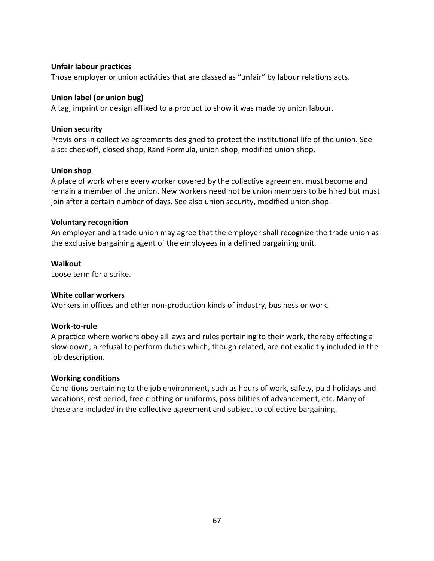### **Unfair labour practices**

Those employer or union activities that are classed as "unfair" by labour relations acts.

### **Union label (or union bug)**

A tag, imprint or design affixed to a product to show it was made by union labour.

### **Union security**

Provisions in collective agreements designed to protect the institutional life of the union. See also: checkoff, closed shop, Rand Formula, union shop, modified union shop.

### **Union shop**

A place of work where every worker covered by the collective agreement must become and remain a member of the union. New workers need not be union members to be hired but must join after a certain number of days. See also union security, modified union shop.

### **Voluntary recognition**

An employer and a trade union may agree that the employer shall recognize the trade union as the exclusive bargaining agent of the employees in a defined bargaining unit.

### **Walkout**

Loose term for a strike.

### **White collar workers**

Workers in offices and other non-production kinds of industry, business or work.

### **Work-to-rule**

A practice where workers obey all laws and rules pertaining to their work, thereby effecting a slow-down, a refusal to perform duties which, though related, are not explicitly included in the job description.

### **Working conditions**

Conditions pertaining to the job environment, such as hours of work, safety, paid holidays and vacations, rest period, free clothing or uniforms, possibilities of advancement, etc. Many of these are included in the collective agreement and subject to collective bargaining.